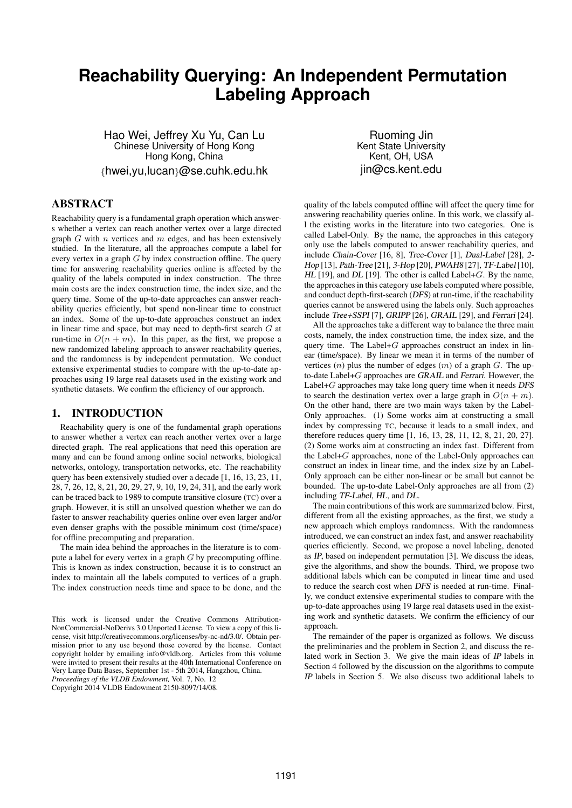# **Reachability Querying: An Independent Permutation Labeling Approach**

Hao Wei, Jeffrey Xu Yu, Can Lu Chinese University of Hong Kong Hong Kong, China *{*hwei,yu,lucan*}*@se.cuhk.edu.hk

Ruoming Jin Kent State University Kent, OH, USA jin@cs.kent.edu

# ABSTRACT

Reachability query is a fundamental graph operation which answers whether a vertex can reach another vertex over a large directed graph *G* with *n* vertices and *m* edges, and has been extensively studied. In the literature, all the approaches compute a label for every vertex in a graph *G* by index construction offline. The query time for answering reachability queries online is affected by the quality of the labels computed in index construction. The three main costs are the index construction time, the index size, and the query time. Some of the up-to-date approaches can answer reachability queries efficiently, but spend non-linear time to construct an index. Some of the up-to-date approaches construct an index in linear time and space, but may need to depth-first search *G* at run-time in  $O(n + m)$ . In this paper, as the first, we propose a new randomized labeling approach to answer reachability queries, and the randomness is by independent permutation. We conduct extensive experimental studies to compare with the up-to-date approaches using 19 large real datasets used in the existing work and synthetic datasets. We confirm the efficiency of our approach.

## 1. INTRODUCTION

Reachability query is one of the fundamental graph operations to answer whether a vertex can reach another vertex over a large directed graph. The real applications that need this operation are many and can be found among online social networks, biological networks, ontology, transportation networks, etc. The reachability query has been extensively studied over a decade [1, 16, 13, 23, 11, 28, 7, 26, 12, 8, 21, 20, 29, 27, 9, 10, 19, 24, 31], and the early work can be traced back to 1989 to compute transitive closure (TC) over a graph. However, it is still an unsolved question whether we can do faster to answer reachability queries online over even larger and/or even denser graphs with the possible minimum cost (time/space) for offline precomputing and preparation.

The main idea behind the approaches in the literature is to compute a label for every vertex in a graph *G* by precomputing offline. This is known as index construction, because it is to construct an index to maintain all the labels computed to vertices of a graph. The index construction needs time and space to be done, and the

This work is licensed under the Creative Commons Attribution-NonCommercial-NoDerivs 3.0 Unported License. To view a copy of this license, visit http://creativecommons.org/licenses/by-nc-nd/3.0/. Obtain permission prior to any use beyond those covered by the license. Contact copyright holder by emailing info@vldb.org. Articles from this volume were invited to present their results at the 40th International Conference on Very Large Data Bases, September 1st - 5th 2014, Hangzhou, China. *Proceedings of the VLDB Endowment,* Vol. 7, No. 12

Copyright 2014 VLDB Endowment 2150-8097/14/08.

quality of the labels computed offline will affect the query time for answering reachability queries online. In this work, we classify all the existing works in the literature into two categories. One is called Label-Only. By the name, the approaches in this category only use the labels computed to answer reachability queries, and include Chain-Cover [16, 8], Tree-Cover [1], Dual-Label [28], 2- Hop [13], Path-Tree [21], 3-Hop [20], PWAH8 [27], TF-Label [10], HL [19], and DL [19]. The other is called Label+*G*. By the name, the approaches in this category use labels computed where possible, and conduct depth-first-search (DFS) at run-time, if the reachability queries cannot be answered using the labels only. Such approaches include Tree+SSPI [7], GRIPP [26], GRAIL [29], and Ferrari [24].

All the approaches take a different way to balance the three main costs, namely, the index construction time, the index size, and the query time. The Label+*G* approaches construct an index in linear (time/space). By linear we mean it in terms of the number of vertices (*n*) plus the number of edges (*m*) of a graph *G*. The upto-date Label+*G* approaches are GRAIL and Ferrari. However, the Label+*G* approaches may take long query time when it needs DFS to search the destination vertex over a large graph in  $O(n + m)$ . On the other hand, there are two main ways taken by the Label-Only approaches. (1) Some works aim at constructing a small index by compressing TC, because it leads to a small index, and therefore reduces query time [1, 16, 13, 28, 11, 12, 8, 21, 20, 27]. (2) Some works aim at constructing an index fast. Different from the Label+*G* approaches, none of the Label-Only approaches can construct an index in linear time, and the index size by an Label-Only approach can be either non-linear or be small but cannot be bounded. The up-to-date Label-Only approaches are all from (2) including TF-Label, HL, and DL.

The main contributions of this work are summarized below. First, different from all the existing approaches, as the first, we study a new approach which employs randomness. With the randomness introduced, we can construct an index fast, and answer reachability queries efficiently. Second, we propose a novel labeling, denoted as IP, based on independent permutation [3]. We discuss the ideas, give the algorithms, and show the bounds. Third, we propose two additional labels which can be computed in linear time and used to reduce the search cost when DFS is needed at run-time. Finally, we conduct extensive experimental studies to compare with the up-to-date approaches using 19 large real datasets used in the existing work and synthetic datasets. We confirm the efficiency of our approach.

The remainder of the paper is organized as follows. We discuss the preliminaries and the problem in Section 2, and discuss the related work in Section 3. We give the main ideas of IP labels in Section 4 followed by the discussion on the algorithms to compute IP labels in Section 5. We also discuss two additional labels to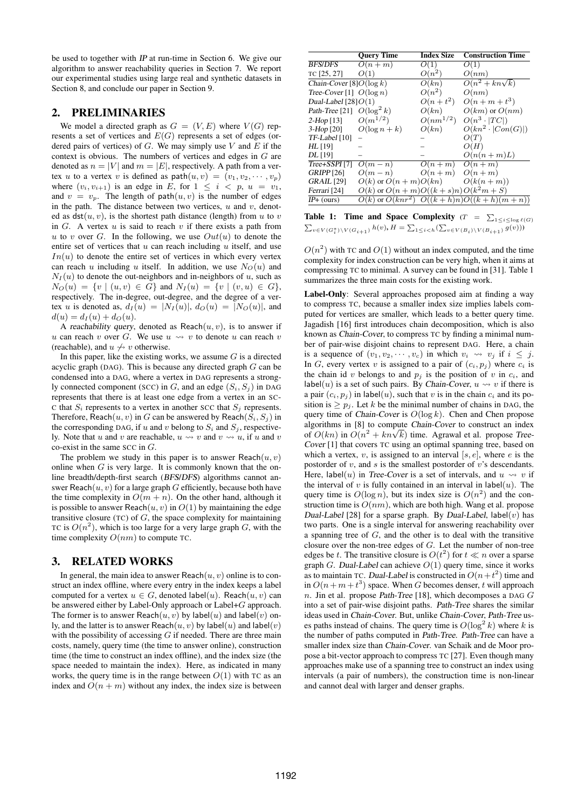be used to together with IP at run-time in Section 6. We give our algorithm to answer reachability queries in Section 7. We report our experimental studies using large real and synthetic datasets in Section 8, and conclude our paper in Section 9.

# 2. PRELIMINARIES

We model a directed graph as  $G = (V, E)$  where  $V(G)$  represents a set of vertices and *E*(*G*) represents a set of edges (ordered pairs of vertices) of *G*. We may simply use *V* and *E* if the context is obvious. The numbers of vertices and edges in *G* are denoted as  $n = |V|$  and  $m = |E|$ , respectively. A path from a vertex *u* to a vertex *v* is defined as  $path(u, v) = (v_1, v_2, \dots, v_p)$ where  $(v_i, v_{i+1})$  is an edge in *E*, for  $1 \leq i \leq p$ ,  $u = v_1$ , and  $v = v_p$ . The length of path $(u, v)$  is the number of edges in the path. The distance between two vertices, *u* and *v*, denoted as  $\det(u, v)$ , is the shortest path distance (length) from *u* to *v* in *G*. A vertex *u* is said to reach *v* if there exists a path from *u* to *v* over *G*. In the following, we use  $Out(u)$  to denote the entire set of vertices that *u* can reach including *u* itself, and use  $In(u)$  to denote the entire set of vertices in which every vertex can reach *u* including *u* itself. In addition, we use  $N_O(u)$  and  $N_I(u)$  to denote the out-neighbors and in-neighbors of *u*, such as  $N_O(u) = \{v \mid (u, v) \in G\}$  and  $N_I(u) = \{v \mid (v, u) \in G\}$ , respectively. The in-degree, out-degree, and the degree of a vertex *u* is denoted as,  $d_I(u) = |N_I(u)|$ ,  $d_O(u) = |N_O(u)|$ , and  $d(u) = d_I(u) + d_O(u).$ 

A reachability query, denoted as  $Reach(u, v)$ , is to answer if *u* can reach *v* over *G*. We use  $u \rightsquigarrow v$  to denote *u* can reach *v* (reachable), and  $u \nleftrightarrow v$  otherwise.

In this paper, like the existing works, we assume *G* is a directed acyclic graph (DAG). This is because any directed graph *G* can be condensed into a DAG, where a vertex in DAG represents a strongly connected component (SCC) in *G*, and an edge  $(S_i, S_j)$  in DAG represents that there is at least one edge from a vertex in an SC-C that  $S_i$  represents to a vertex in another SCC that  $S_i$  represents. Therefore, Reach $(u, v)$  in *G* can be answered by Reach $(S_i, S_j)$  in the corresponding DAG, if  $u$  and  $v$  belong to  $S_i$  and  $S_j$ , respectively. Note that *u* and *v* are reachable,  $u \leftrightarrow v$  and  $v \leftrightarrow u$ , if *u* and *v* co-exist in the same SCC in *G*.

The problem we study in this paper is to answer  $\text{Reach}(u, v)$ online when *G* is very large. It is commonly known that the online breadth/depth-first search (BFS/DFS) algorithms cannot answer Reach $(u, v)$  for a large graph *G* efficiently, because both have the time complexity in  $O(m + n)$ . On the other hand, although it is possible to answer Reach $(u, v)$  in  $O(1)$  by maintaining the edge transitive closure (TC) of *G*, the space complexity for maintaining TC is  $O(n^2)$ , which is too large for a very large graph *G*, with the time complexity  $O(nm)$  to compute TC.

# 3. RELATED WORKS

In general, the main idea to answer  $Reach(u, v)$  online is to construct an index offline, where every entry in the index keeps a label computed for a vertex  $u \in G$ , denoted label(*u*). Reach(*u, v*) can be answered either by Label-Only approach or Label+*G* approach. The former is to answer Reach $(u, v)$  by label $(u)$  and label $(v)$  only, and the latter is to answer Reach $(u, v)$  by label $(u)$  and label $(v)$ with the possibility of accessing *G* if needed. There are three main costs, namely, query time (the time to answer online), construction time (the time to construct an index offline), and the index size (the space needed to maintain the index). Here, as indicated in many works, the query time is in the range between  $O(1)$  with TC as an index and  $O(n + m)$  without any index, the index size is between

|                              | <b>Query Time</b>                    | <b>Index Size</b> | <b>Construction Time</b>                      |
|------------------------------|--------------------------------------|-------------------|-----------------------------------------------|
| <b>BFS/DFS</b>               | $O(n+m)$                             | O(1)              | O(1)                                          |
| TC [25, 27]                  | O(1)                                 | $O(n^2)$          | O(nm)                                         |
| Chain-Cover [8] $O(\log k)$  |                                      | O(kn)             | $O(n^2 + kn\sqrt{k})$                         |
| Tree-Cover [1] $O(\log n)$   |                                      | $O(n^2)$          | O(nm)                                         |
| Dual-Label $[28]O(1)$        |                                      | $O(n + t^2)$      | $O(n+m+t^3)$                                  |
| Path-Tree [21] $O(\log^2 k)$ |                                      | O(kn)             | $O(km)$ or $O(nm)$                            |
| $2-Hop [13]$                 | $O(m^{1/2})$                         | $O(nm^{1/2})$     | $O(n^3 \cdot  TC )$                           |
| $3-Hop$ [20]                 | $O(\log n + k)$                      | O(kn)             | $O(kn^2 \cdot  Con(G) )$                      |
| TF-Label [10]                |                                      |                   | O(T)                                          |
| HL [19]                      |                                      |                   | O(H)                                          |
| DL [19]                      |                                      |                   | $O(n(n+m)L)$                                  |
| Tree+SSPI [7]                | $O(m-n)$                             | $O(n+m)$ $O(n+m)$ |                                               |
| <b>GRIPP</b> [26]            | $O(m-n)$                             | $O(n+m)$          | $O(n+m)$                                      |
| <b>GRAIL</b> [29]            | $O(k)$ or $O(n+m)O(kn)$              |                   | $O(k(n+m))$                                   |
| Ferrari [24]                 | $O(k)$ or $O(n+m)O((k+s)n)O(k^2m+S)$ |                   |                                               |
| $IP+$ (ours)                 |                                      |                   | $O(k)$ or $O(knr^2)$ $O((k+h)n)O((k+h)(m+n))$ |

Table 1: Time and Space Complexity  $(T = \sum$ **The COMPRETE:** The diameter complexity  $(T - \sum_{1 \leq i \leq \log \ell(G)}$ <br> $\sum_{v \in V(G_i^*) \setminus V(G_{i+1})} h(v), H = \sum_{1 \leq i < h} (\sum_{v \in V(B_i) \setminus V(B_{i+1})} g(v)))$ 

 $O(n^2)$  with TC and  $O(1)$  without an index computed, and the time complexity for index construction can be very high, when it aims at compressing TC to minimal. A survey can be found in [31]. Table 1 summarizes the three main costs for the existing work.

Label-Only: Several approaches proposed aim at finding a way to compress TC, because a smaller index size implies labels computed for vertices are smaller, which leads to a better query time. Jagadish [16] first introduces chain decomposition, which is also known as Chain-Cover, to compress TC by finding a minimal number of pair-wise disjoint chains to represent DAG. Here, a chain is a sequence of  $(v_1, v_2, \cdots, v_c)$  in which  $v_i \rightsquigarrow v_j$  if  $i \leq j$ . In *G*, every vertex *v* is assigned to a pair of  $(c_i, p_j)$  where  $c_i$  is the chain id *v* belongs to and  $p_i$  is the position of *v* in  $c_i$ , and label(*u*) is a set of such pairs. By Chain-Cover,  $u \rightsquigarrow v$  if there is a pair  $(c_i, p_i)$  in label $(u)$ , such that *v* is in the chain  $c_i$  and its position is  $\geq p_j$ . Let *k* be the minimal number of chains in DAG, the query time of Chain-Cover is *O*(log *k*). Chen and Chen propose algorithms in [8] to compute Chain-Cover to construct an index algorithms in [8] to compute Chain-Cover to construct an index<br>of  $O(kn)$  in  $O(n^2 + kn\sqrt{k})$  time. Agrawal et al. propose Tree-Cover [1] that covers TC using an optimal spanning tree, based on which a vertex,  $v$ , is assigned to an interval  $[s, e]$ , where  $e$  is the postorder of *v*, and *s* is the smallest postorder of *v*'s descendants. Here, label(*u*) in Tree-Cover is a set of intervals, and  $u \rightsquigarrow v$  if the interval of  $v$  is fully contained in an interval in label $(u)$ . The query time is  $O(\log n)$ , but its index size is  $O(n^2)$  and the construction time is  $O(nm)$ , which are both high. Wang et al. propose Dual-Label [28] for a sparse graph. By Dual-Label,  $\text{label}(v)$  has two parts. One is a single interval for answering reachability over a spanning tree of *G*, and the other is to deal with the transitive closure over the non-tree edges of *G*. Let the number of non-tree edges be *t*. The transitive closure is  $O(t^2)$  for  $t \ll n$  over a sparse graph *G*. Dual-Label can achieve  $O(1)$  query time, since it works as to maintain TC. Dual-Label is constructed in  $O(n+t^2)$  time and in  $O(n + m + t^3)$  space. When *G* becomes denser, *t* will approach *n*. Jin et al. propose Path-Tree [18], which decomposes a DAG *G* into a set of pair-wise disjoint paths. Path-Tree shares the similar ideas used in Chain-Cover. But, unlike Chain-Cover, Path-Tree uses paths instead of chains. The query time is  $O(\log^2 k)$  where *k* is the number of paths computed in Path-Tree. Path-Tree can have a smaller index size than Chain-Cover. van Schaik and de Moor propose a bit-vector approach to compress TC [27]. Even though many approaches make use of a spanning tree to construct an index using intervals (a pair of numbers), the construction time is non-linear and cannot deal with larger and denser graphs.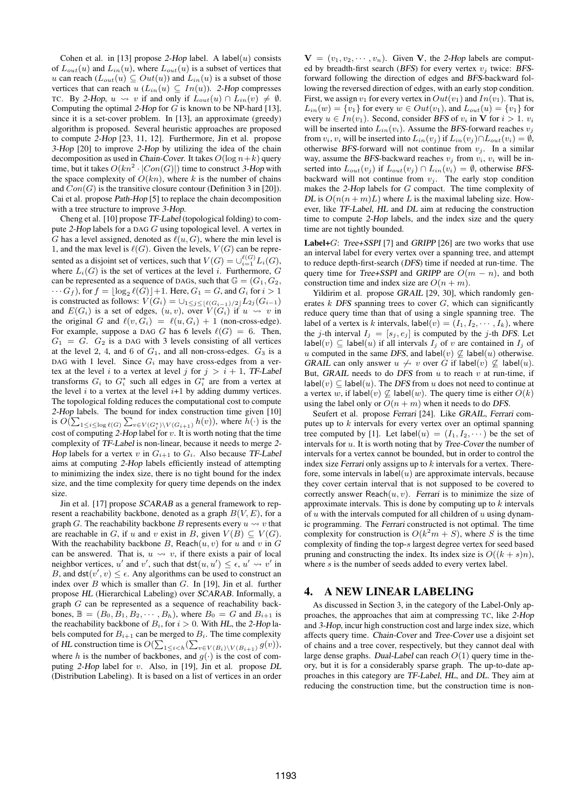Cohen et al. in [13] propose 2-Hop label. A label(*u*) consists of  $L_{out}(u)$  and  $L_{in}(u)$ , where  $L_{out}(u)$  is a subset of vertices that *u* can reach ( $L_{out}(u)$  ⊆  $Out(u)$ ) and  $L_{in}(u)$  is a subset of those vertices that can reach  $u(L_{in}(u) \subseteq In(u))$ . 2-Hop compresses TC. By 2-Hop,  $u \rightsquigarrow v$  if and only if  $L_{out}(u) \cap L_{in}(v) \neq \emptyset$ . Computing the optimal 2-Hop for *G* is known to be NP-hard [13], since it is a set-cover problem. In [13], an approximate (greedy) algorithm is proposed. Several heuristic approaches are proposed to compute 2-Hop [23, 11, 12]. Furthermore, Jin et al. propose 3-Hop [20] to improve 2-Hop by utilizing the idea of the chain decomposition as used in *Chain-Cover*. It takes  $O(\log n + k)$  query time, but it takes  $O(kn^2 \cdot |Con(G)|)$  time to construct 3-Hop with the space complexity of  $O(kn)$ , where *k* is the number of chains and  $Con(G)$  is the transitive closure contour (Definition 3 in [20]). Cai et al. propose Path-Hop [5] to replace the chain decomposition with a tree structure to improve 3-Hop.

Cheng et al. [10] propose TF-Label (topological folding) to compute 2-Hop labels for a DAG *G* using topological level. A vertex in *G* has a level assigned, denoted as  $\ell(u, G)$ , where the min level is 1, and the max level is  $\ell(G)$ . Given the levels,  $V(G)$  can be represented as a disjoint set of vertices, such that  $V(G) = \bigcup_{i=1}^{\ell(G)} L_i(G)$ , where  $L_i(G)$  is the set of vertices at the level *i*. Furthermore, *G* can be represented as a sequence of DAGs, such that  $\mathbb{G} = (G_1, G_2, G_3)$  $\cdots G_f$ ), for  $f = \lfloor \log_2 \ell(G) \rfloor + 1$ . Here,  $G_1 = G$ , and  $G_i$  for  $i > 1$ is constructed as follows:  $V(G_i) = \bigcup_{1 \leq j \leq \lfloor \ell(G_{i-1})/2 \rfloor} L_{2j}(G_{i-1})$ <br>and  $E(G_i)$  is a set of edges,  $(u, v)$ , over  $V(G_i)$  if  $u \rightsquigarrow v$  in the original *G* and  $\ell(v, G_i) = \ell(u, G_i) + 1$  (non-cross-edge). For example, suppose a DAG *G* has 6 levels  $\ell(G) = 6$ . Then,  $G_1 = G$ .  $G_2$  is a DAG with 3 levels consisting of all vertices at the level 2, 4, and  $6$  of  $G_1$ , and all non-cross-edges.  $G_3$  is a DAG with 1 level. Since  $G_i$  may have cross-edges from a vertex at the level *i* to a vertex at level *j* for  $j > i + 1$ , TF-Label transforms  $G_i$  to  $G_i^*$  such all edges in  $G_i^*$  are from a vertex at the level  $i$  to a vertex at the level  $i+1$  by adding dummy vertices. The topological folding reduces the computational cost to compute 2-Hop labels. The bound for index construction time given [10] is  $O(\sum_{1 \leq i \leq \log \ell(G)} \sum_{v \in V(G_i^*) \setminus V(G_{i+1})} h(v))$ , where  $h(\cdot)$  is the cost of computing 2-Hop label for *v*. It is worth noting that the time complexity of TF-Label is non-linear, because it needs to merge 2- Hop labels for a vertex  $v$  in  $G_{i+1}$  to  $G_i$ . Also because TF-Label aims at computing 2-Hop labels efficiently instead of attempting to minimizing the index size, there is no tight bound for the index size, and the time complexity for query time depends on the index size.

Jin et al. [17] propose SCARAB as a general framework to represent a reachability backbone, denoted as a graph *B*(*V, E*), for a graph *G*. The reachability backbone *B* represents every  $u \rightsquigarrow v$  that are reachable in *G*, if *u* and *v* exist in *B*, given  $V(B) \subseteq V(G)$ . With the reachability backbone *B*, Reach $(u, v)$  for *u* and *v* in *G* can be answered. That is,  $u \leftrightarrow v$ , if there exists a pair of local neighbor vertices, *u'* and *v'*, such that  $\textsf{dst}(u, u') \leq \epsilon$ ,  $u' \rightsquigarrow v'$  in *B*, and  $\textsf{dst}(v', v) \leq \epsilon$ . Any algorithms can be used to construct an index over *B* which is smaller than *G*. In [19], Jin et al. further propose HL (Hierarchical Labeling) over SCARAB. Informally, a graph *G* can be represented as a sequence of reachability backbones,  $\mathbb{B} = (B_0, B_1, B_2, \cdots, B_h)$ , where  $B_0 = G$  and  $B_{i+1}$  is the reachability backbone of  $B_i$ , for  $i > 0$ . With HL, the 2-Hop labels computed for  $B_{i+1}$  can be merged to  $B_i$ . The time complexity of HL construction time is  $O(\sum_{1 \le i < h} (\sum_{v \in V(B_i) \setminus V(B_{i+1})} g(v)),$ where *h* is the number of backbones, and  $q(\cdot)$  is the cost of computing 2-Hop label for *v*. Also, in [19], Jin et al. propose DL (Distribution Labeling). It is based on a list of vertices in an order

**. Given <b>V**, the 2-Hop labels are computed by breadth-first search (BFS) for every vertex  $v_j$  twice: BFSforward following the direction of edges and BFS-backward following the reversed direction of edges, with an early stop condition. First, we assign  $v_1$  for every vertex in  $Out(v_1)$  and  $In(v_1)$ . That is,  $L_{in}(w) = \{v_1\}$  for every  $w \in Out(v_1)$ , and  $L_{out}(u) = \{v_1\}$  for every  $u \in In(v_1)$ . Second, consider BFS of  $v_i$  in **V** for  $i > 1$ .  $v_i$ will be inserted into  $L_{in}(v_i)$ . Assume the BFS-forward reaches  $v_j$ from  $v_i$ ,  $v_i$  will be inserted into  $L_{in}(v_j)$  if  $L_{in}(v_j) \cap L_{out}(v_i) = \emptyset$ , otherwise BFS-forward will not continue from  $v_j$ . In a similar way, assume the BFS-backward reaches  $v_i$  from  $v_i$ ,  $v_i$  will be inserted into  $L_{out}(v_j)$  if  $L_{out}(v_j) \cap L_{in}(v_i) = \emptyset$ , otherwise BFSbackward will not continue from  $v_j$ . The early stop condition makes the 2-Hop labels for *G* compact. The time complexity of DL is  $O(n(n+m)L)$  where L is the maximal labeling size. However, like TF-Label, HL and DL aim at reducing the construction time to compute 2-Hop labels, and the index size and the query time are not tightly bounded.

Label+*G*: Tree+SSPI [7] and GRIPP [26] are two works that use an interval label for every vertex over a spanning tree, and attempt to reduce depth-first-search (DFS) time if needed at run-time. The query time for Tree+SSPI and GRIPP are  $O(m - n)$ , and both construction time and index size are  $O(n + m)$ .

Yildirim et al. propose GRAIL [29, 30], which randomly generates *k* DFS spanning trees to cover *G*, which can significantly reduce query time than that of using a single spanning tree. The label of a vertex is *k* intervals,  $\text{label}(v) = (I_1, I_2, \cdots, I_k)$ , where the *j*-th interval  $I_i = [s_i, e_i]$  is computed by the *j*-th DFS. Let label(*v*)  $\subseteq$  label(*u*) if all intervals  $I_i$  of *v* are contained in  $I_i$  of *u* computed in the same DFS, and label(*v*)  $\subseteq$  label(*u*) otherwise. GRAIL can only answer  $u \nleftrightarrow v$  over G if label(*v*)  $\not\subseteq$  label(*u*). But, GRAIL needs to do DFS from *u* to reach *v* at run-time, if label(*v*)  $\subseteq$  label(*u*). The *DFS* from *u* does not need to continue at a vertex *w*, if  $\text{label}(v) \not\subseteq \text{label}(w)$ . The query time is either  $O(k)$ using the label only or  $O(n + m)$  when it needs to do DFS.

Seufert et al. propose Ferrari [24]. Like GRAIL, Ferrari computes up to *k* intervals for every vertex over an optimal spanning tree computed by [1]. Let label $(u) = (I_1, I_2, \cdots)$  be the set of intervals for *u*. It is worth noting that by Tree-Cover the number of intervals for a vertex cannot be bounded, but in order to control the index size Ferrari only assigns up to *k* intervals for a vertex. Therefore, some intervals in  $\text{label}(u)$  are approximate intervals, because they cover certain interval that is not supposed to be covered to correctly answer  $\text{Reach}(u, v)$ . Ferrari is to minimize the size of approximate intervals. This is done by computing up to *k* intervals of *u* with the intervals computed for all children of *u* using dynamic programming. The Ferrari constructed is not optimal. The time complexity for construction is  $O(k^2m + S)$ , where *S* is the time complexity of finding the top-*s* largest degree vertex for seed based pruning and constructing the index. Its index size is  $O((k + s)n)$ , where *s* is the number of seeds added to every vertex label.

#### 4. A NEW LINEAR LABELING

As discussed in Section 3, in the category of the Label-Only approaches, the approaches that aim at compressing TC, like 2-Hop and 3-Hop, incur high construction cost and large index size, which affects query time. Chain-Cover and Tree-Cover use a disjoint set of chains and a tree cover, respectively, but they cannot deal with large dense graphs. Dual-Label can reach *O*(1) query time in theory, but it is for a considerably sparse graph. The up-to-date approaches in this category are TF-Label, HL, and DL. They aim at reducing the construction time, but the construction time is non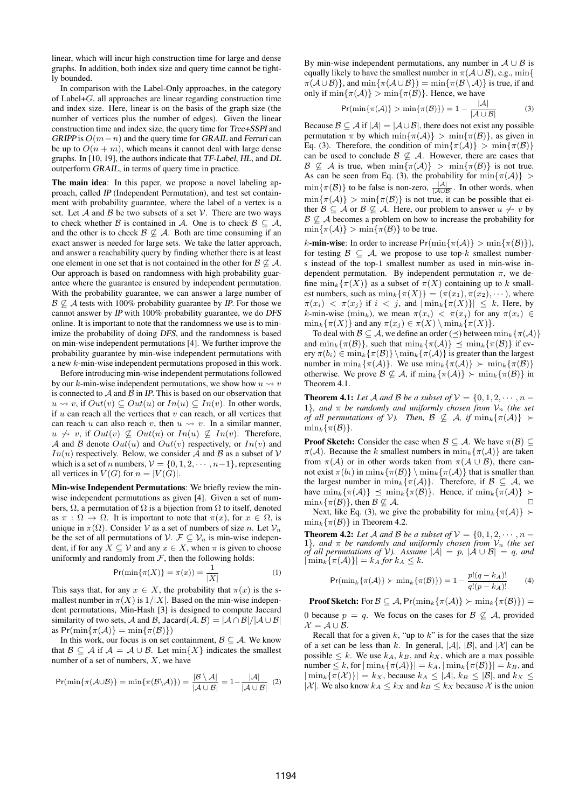linear, which will incur high construction time for large and dense graphs. In addition, both index size and query time cannot be tightly bounded.

In comparison with the Label-Only approaches, in the category of Label+*G*, all approaches are linear regarding construction time and index size. Here, linear is on the basis of the graph size (the number of vertices plus the number of edges). Given the linear construction time and index size, the query time for Tree+SSPI and GRIPP is *O*(*m−n*) and the query time for GRAIL and Ferrari can be up to  $O(n + m)$ , which means it cannot deal with large dense graphs. In [10, 19], the authors indicate that TF-Label, HL, and DL outperform GRAIL, in terms of query time in practice.

The main idea: In this paper, we propose a novel labeling approach, called IP (Independent Permutation), and test set containment with probability guarantee, where the label of a vertex is a set. Let  $A$  and  $B$  be two subsets of a set  $V$ . There are two ways to check whether *B* is contained in *A*. One is to check  $B \subseteq A$ , and the other is to check  $\mathcal{B} \not\subseteq \mathcal{A}$ . Both are time consuming if an exact answer is needed for large sets. We take the latter approach, and answer a reachability query by finding whether there is at least one element in one set that is not contained in the other for  $\beta \not\subseteq A$ . Our approach is based on randomness with high probability guarantee where the guarantee is ensured by independent permutation. With the probability guarantee, we can answer a large number of  $B \not\subseteq A$  tests with 100% probability guarantee by *IP*. For those we cannot answer by IP with 100% probability guarantee, we do DFS online. It is important to note that the randomness we use is to minimize the probability of doing DFS, and the randomness is based on min-wise independent permutations [4]. We further improve the probability guarantee by min-wise independent permutations with a new *k*-min-wise independent permutations proposed in this work.

Before introducing min-wise independent permutations followed by our *k*-min-wise independent permutations, we show how  $u \rightarrow v$ is connected to  $A$  and  $B$  in IP. This is based on our observation that *u*  $\sim v$ , if *Out*(*v*) ⊆ *Out*(*u*) or *In*(*u*) ⊆ *In*(*v*). In other words, if *u* can reach all the vertices that *v* can reach, or all vertices that can reach *u* can also reach *v*, then  $u \leadsto v$ . In a similar manner, *u*  $\not\leftrightarrow$  *v*, if *Out*(*v*)  $\not\subseteq$  *Out*(*u*) or *In*(*u*)  $\not\subseteq$  *In*(*v*). Therefore, *A* and *B* denote  $Out(u)$  and  $Out(v)$  respectively, or  $In(v)$  and *In*(*u*) respectively. Below, we consider *A* and *B* as a subset of *V* which is a set of *n* numbers,  $V = \{0, 1, 2, \dots, n-1\}$ , representing all vertices in  $V(G)$  for  $n = |V(G)|$ .

Min-wise Independent Permutations: We briefly review the minwise independent permutations as given [4]. Given a set of numbers,  $\Omega$ , a permutation of  $\Omega$  is a bijection from  $\Omega$  to itself, denoted as  $\pi$  :  $\Omega \to \Omega$ . It is important to note that  $\pi(x)$ , for  $x \in \Omega$ , is unique in  $\pi(\Omega)$ . Consider *V* as a set of numbers of size *n*. Let  $V_n$ be the set of all permutations of  $V$ .  $\mathcal{F} \subseteq V_n$  is min-wise independent, if for any  $X \subseteq V$  and any  $x \in X$ , when  $\pi$  is given to choose uniformly and randomly from  $F$ , then the following holds:

$$
\Pr(\min\{\pi(X)\} = \pi(x)) = \frac{1}{|X|} \tag{1}
$$

This says that, for any  $x \in X$ , the probability that  $\pi(x)$  is the smallest number in  $\pi(X)$  is  $1/|X|$ . Based on the min-wise independent permutations, Min-Hash [3] is designed to compute Jaccard similarity of two sets, *A* and *B*, Jacard $(A, B) = |A \cap B|/|A \cup B|$ as  $Pr(\min\{\pi(\mathcal{A})\} = \min\{\pi(\mathcal{B})\})$ 

In this work, our focus is on set containment,  $\mathcal{B} \subseteq \mathcal{A}$ . We know that *B* ⊆ *A* if  $A = A ∪ B$ . Let min $\{X\}$  indicates the smallest number of a set of numbers, *X*, we have

$$
Pr(\min\{\pi(\mathcal{A}\cup\mathcal{B})\}=\min\{\pi(\mathcal{B}\setminus\mathcal{A})\})=\frac{|\mathcal{B}\setminus\mathcal{A}|}{|\mathcal{A}\cup\mathcal{B}|}=1-\frac{|\mathcal{A}|}{|\mathcal{A}\cup\mathcal{B}|}\tag{2}
$$

By min-wise independent permutations, any number in *A ∪ B* is equally likely to have the smallest number in  $\pi(A \cup B)$ , e.g., min $\{$  $\pi(A\cup B)$ }, and  $\min\{\pi(A\cup B)\} = \min\{\pi(B\setminus A)\}\$ is true, if and only if  $\min{\pi(\mathcal{A})} > \min{\pi(\mathcal{B})}$ . Hence, we have

$$
Pr(\min\{\pi(\mathcal{A})\} > \min\{\pi(\mathcal{B})\}) = 1 - \frac{|\mathcal{A}|}{|\mathcal{A} \cup \mathcal{B}|}
$$
(3)

Because  $\mathcal{B} \subseteq \mathcal{A}$  if  $|\mathcal{A}| = |\mathcal{A} \cup \mathcal{B}|$ , there does not exist any possible permutation  $\pi$  by which  $\min{\pi(\mathcal{A})} > \min{\pi(\mathcal{B})}$ , as given in Eq. (3). Therefore, the condition of  $\min\{\pi(\mathcal{A})\} > \min\{\pi(\mathcal{B})\}$ can be used to conclude  $\mathcal{B} \not\subseteq \mathcal{A}$ . However, there are cases that  $B \not\subseteq A$  is true, when  $\min{\{\pi(A)\}} > \min{\{\pi(B)\}}$  is not true. As can be seen from Eq. (3), the probability for  $\min\{\pi(\mathcal{A})\}$  $\min{\{\pi(\mathcal{B})\}}$  to be false is non-zero,  $\frac{|\mathcal{A}|}{|\mathcal{A} \cup \mathcal{B}|}$ . In other words, when  $\min{\pi(\mathcal{A})} > \min{\pi(\mathcal{B})}$  is not true, it can be possible that either  $\mathcal{B} \subseteq \mathcal{A}$  or  $\mathcal{B} \nsubseteq \mathcal{A}$ . Here, our problem to answer  $u \nleftrightarrow v$  by *B*  $\&$  *A* becomes a problem on how to increase the probability for  $\min\{\pi(\mathcal{A})\}$  >  $\min\{\pi(\mathcal{B})\}$  to be true.

*k*-min-wise: In order to increase  $Pr(\min{\pi(\mathcal{A})} > \min{\pi(\mathcal{B})})$ , for testing  $\mathcal{B} \subseteq \mathcal{A}$ , we propose to use top- $k$  smallest numbers instead of the top-1 smallest number as used in min-wise independent permutation. By independent permutation  $\pi$ , we define  $\min_k {\tau(X)}$  as a subset of  $\pi(X)$  containing up to *k* smallest numbers, such as  $\min_k \{ \pi(X) \} = (\pi(x_1), \pi(x_2), \dots)$ , where  $\pi(x_i) < \pi(x_j)$  if  $i < j$ , and  $|\min_k{\pi(X)}| \leq k$ , Here, by *k*-min-wise (min<sub>k</sub>), we mean  $\pi(x_i) < \pi(x_j)$  for any  $\pi(x_i) \in$  $\min_k \{ \pi(X) \}$  and any  $\pi(x_j) \in \pi(X) \setminus \min_k \{ \pi(X) \}.$ 

To deal with  $\mathcal{B} \subseteq \mathcal{A}$ , we define an order ( $\preceq$ ) between  $\min_k {\{\pi(\mathcal{A})\}}$ and  $\min_k {\{\pi(\mathcal{B})\}}$ , such that  $\min_k {\{\pi(\mathcal{A})\}} \preceq \min_k {\{\pi(\mathcal{B})\}}$  if every  $\pi(b_i) \in \min_k {\pi(\mathcal{B})} \backslash \min_k {\pi(\mathcal{A})}$  is greater than the largest number in  $\min_k {\{\pi(\mathcal{A})\}}$ . We use  $\min_k {\{\pi(\mathcal{A})\}} > \min_k {\{\pi(\mathcal{B})\}}$ otherwise. We prove  $\mathcal{B} \not\subseteq \mathcal{A}$ , if  $\min_k {\{\pi(\mathcal{A})\}} > \min_k {\{\pi(\mathcal{B})\}}$  in Theorem 4.1.

**Theorem 4.1:** Let A and B be a subset of  $V = \{0, 1, 2, \dots, n - \}$ 1*}, and*  $\pi$  *be randomly and uniformly chosen from*  $V_n$  (the set *of all permutations of*  $V$ *). Then,*  $B \nsubseteq A$ *, if*  $\min_k \{ \pi(A) \}$  ≻  $\min_k \{ \pi(\mathcal{B}) \}.$ 

**Proof Sketch:** Consider the case when  $\mathcal{B} \subseteq \mathcal{A}$ . We have  $\pi(\mathcal{B}) \subseteq$  $\pi(\mathcal{A})$ . Because the *k* smallest numbers in  $\min_k {\{\pi(\mathcal{A})\}}$  are taken from  $\pi(\mathcal{A})$  or in other words taken from  $\pi(\mathcal{A} \cup \mathcal{B})$ , there cannot exist  $\pi(b_i)$  in  $\min_k{\pi(\mathcal{B})} \setminus \min_k{\pi(\mathcal{A})}$  that is smaller than the largest number in  $\min_k {\{\pi(\mathcal{A})\}}$ . Therefore, if  $\mathcal{B} \subseteq \mathcal{A}$ , we have  $\min_k {\{\pi(\mathcal{A})\}} \preceq \min_k {\{\pi(\mathcal{B})\}}$ . Hence, if  $\min_k {\{\pi(\mathcal{A})\}} \succ$  $\min_k \{ \pi(\mathcal{B}) \}$ , then  $\mathcal{B} \not\subseteq \mathcal{A}$ .

Next, like Eq. (3), we give the probability for  $\min_k {\{\pi(\mathcal{A})\}} \succ$  $\min_k \{ \pi(\mathcal{B}) \}$  in Theorem 4.2.

Theorem 4.2: Let *A* and *B* be a subset of  $V = \{0, 1, 2, \cdots, n - \}$ 1*}, and*  $\pi$  *be randomly and uniformly chosen from*  $V_n$  (the set *of all permutations of*  $\hat{V}$ *). Assume*  $|\hat{A}| = p$ ,  $|\hat{A} \cup \hat{B}| = q$ *, and*  $|\min_{k} {\pi(A)}| = k_A$  *for*  $k_A \leq k$ *.* 

$$
\Pr(\min_{k} \{\pi(\mathcal{A})\} \succ \min_{k} \{\pi(\mathcal{B})\}) = 1 - \frac{p!(q - k_{A})!}{q!(p - k_{A})!} \tag{4}
$$

**Proof Sketch:** For  $\mathcal{B} \subseteq \mathcal{A}$ , Pr( $\min_k \{ \pi(\mathcal{A}) \} \succ \min_k \{ \pi(\mathcal{B}) \}$ ) = 0 because  $p = q$ . We focus on the cases for  $\beta \not\subseteq A$ , provided

*X* = *A ∪ B*. Recall that for a given  $k$ , "up to  $k$ " is for the cases that the size of a set can be less than *k*. In general,  $|A|$ ,  $|B|$ , and  $|X|$  can be possible  $\leq k$ . We use  $k_A$ ,  $k_B$ , and  $k_X$ , which are a max possible  $\min\{m \in \mathbb{R} \mid \min_k \{m(A)\}\right| = k_A, |\min_k \{m(B)\}\| = k_B, \text{ and }$  $|\min_k{\{\pi(\mathcal{X})\}}| = k_X$ , because  $k_A \leq |\mathcal{A}|, k_B \leq |\mathcal{B}|$ , and  $k_X \leq$ *|X |*. We also know  $k_A ≤ k_X$  and  $k_B ≤ k_X$  because X is the union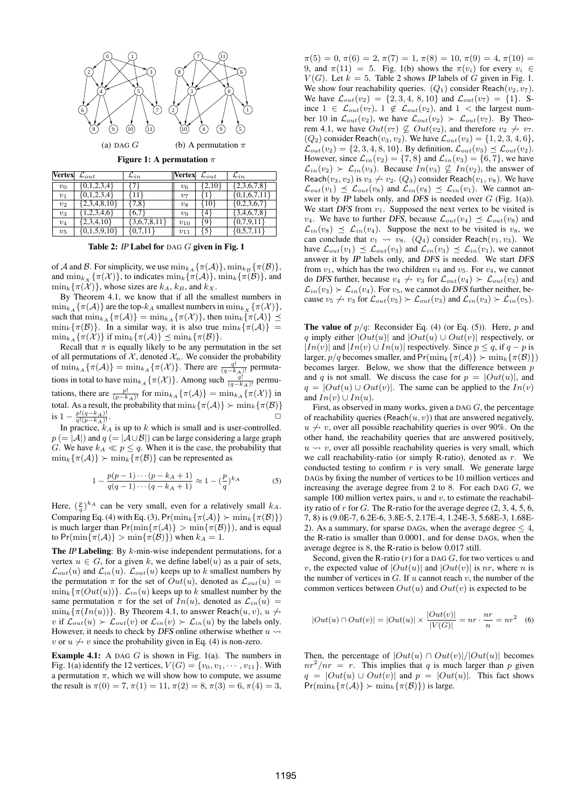

Figure 1: A permutation *π*

| Vertex | $\mathcal{L}_{out}$ | $\mathcal{L}_{in}$ | <b>Vertex</b> $\mathcal{L}_{out}$ |                 | $\mathcal{L}_{in}$ |
|--------|---------------------|--------------------|-----------------------------------|-----------------|--------------------|
| $v_0$  | [0,1,2,3,4]         |                    | $v_6$                             | 2,10            | $\{2,3,6,7,8\}$    |
| $v_1$  | $\{0,1,2,3,4\}$     | $11+$              | $v_7$                             |                 | $\{0,1,6,7,11\}$   |
| $v_2$  | $\{2,3,4,8,10\}$    | $\{7,8\}$          | $v_8$                             | 10 <sub>r</sub> | $\{0,2,3,6,7\}$    |
| $v_3$  | 1,2,3,4,6           | 6,7                | $v_9$                             | 4               | $\{3,4,6,7,8\}$    |
| $v_4$  | $\{2,3,4,10\}$      | $\{3,6,7,8,11\}$   | $v_{10}$                          | ا 9 }           | $\{0,7,9,11\}$     |
| $v_5$  | $\{0,1,5,9,10\}$    | ${0,7,11}$         | $v_{11}$                          | 51              | ${0,5,7,11}$       |

Table 2: IP Label for DAG *G* given in Fig. 1

of *A* and *B*. For simplicity, we use  $\min_{k \in \Lambda} {\{\pi(\mathcal{A})\}}$ ,  $\min_{k \in B} {\{\pi(\mathcal{B})\}}$ , and  $\min_{k \in \mathcal{X}} {\{\pi(\mathcal{X})\}}$ , to indicates  $\min_{k} {\{\pi(\mathcal{A})\}}$ ,  $\min_{k} {\{\pi(\mathcal{B})\}}$ , and  $\min_k {\{\pi(\mathcal{X})\}}$ , whose sizes are  $k_A$ ,  $k_B$ , and  $k_X$ .

By Theorem 4.1, we know that if all the smallest numbers in  $\min_{k_A} {\{\pi(\mathcal{A})\}}$  are the top- $k_A$  smallest numbers in  $\min_{k_X} {\{\pi(\mathcal{X})\}}$ , such that  $\min_{k_A} {\{\pi(\mathcal{A})\}} = \min_{k_A} {\{\pi(\mathcal{X})\}}$ , then  $\min_k {\{\pi(\mathcal{A})\}} \preceq$  $\min_k {\{\pi(\mathcal{B})\}}$ . In a similar way, it is also true  $\min_k {\{\pi(\mathcal{A})\}}$  $\min_{k_A} {\{\pi(\mathcal{X})\}}$  if  $\min_k {\{\pi(\mathcal{A})\}} \preceq \min_k {\{\pi(\mathcal{B})\}}$ .

Recall that  $\pi$  is equally likely to be any permutation in the set of all permutations of  $X$ , denoted  $X<sub>n</sub>$ . We consider the probability of  $\min_{k_A} {\{\pi(\mathcal{A})\}} = \min_{k_A} {\{\pi(\mathcal{X})\}}$ . There are  $\frac{q!}{(q-k_A)!}$  permutations in total to have  $\min_{k_A} {\{\pi(\mathcal{X})\}}$ . Among such  $\frac{q!}{(q-k_A)!}$  permutations, there are  $\frac{p!}{(p-k_A)!}$  for  $\min_{k_A} {\{\pi(\mathcal{A})\}} = \min_{k_A} {\{\pi(\mathcal{X})\}}$  in total. As a result, the probability that  $\min_k {\{\pi(\mathcal{A})\}} \succ \min_k {\{\pi(\mathcal{B})\}}$  $i s 1 - \frac{p!(q-k_A)!}{q!(q-k_A)!}$ 

 $1 - \frac{p:(q - \kappa_A)!}{q!(p - \kappa_A)!}$ . <del>□</del><br>In practice,  $k_A$  is up to *k* which is small and is user-controlled. *p* (= |A|) and *q* (= |A∪B|) can be large considering a large graph *G*. We have  $k_A \ll p \leq q$ . When it is the case, the probability that  $\min_k \{ \pi(\mathcal{A}) \} \succ \min_k \{ \pi(\mathcal{B}) \}$  can be represented as

$$
1 - \frac{p(p-1)\cdots(p-k_A+1)}{q(q-1)\cdots(q-k_A+1)} \approx 1 - \left(\frac{p}{q}\right)^{k_A}
$$
 (5)

Here,  $(\frac{p}{q})^{k_A}$  can be very small, even for a relatively small  $k_A$ . Comparing Eq. (4) with Eq. (3),  $Pr(\min_k {\{\pi(\mathcal{A})\}} > \min_k {\{\pi(\mathcal{B})\}})$ is much larger than  $Pr(\min{\pi(\mathcal{A})} > \min{\pi(\mathcal{B})})$ , and is equal  $\text{to } \text{Pr}(\min\{\pi(\mathcal{A})\} > \min\{\pi(\mathcal{B})\})$  when  $k_A = 1$ .

The IP Labeling: By *k*-min-wise independent permutations, for a vertex  $u \in G$ , for a given k, we define label(*u*) as a pair of sets,  $\mathcal{L}_{out}(u)$  and  $\mathcal{L}_{in}(u)$ .  $\mathcal{L}_{out}(u)$  keeps up to *k* smallest numbers by the permutation  $\pi$  for the set of  $Out(u)$ , denoted as  $\mathcal{L}_{out}(u)$  $\min_k {\tau(Out(u))}$ .  $\mathcal{L}_{in}(u)$  keeps up to *k* smallest number by the same permutation  $\pi$  for the set of  $In(u)$ , denoted as  $\mathcal{L}_{in}(u)$  =  $\min_k {\pi(In(u))}$ . By Theorem 4.1, to answer Reach $(u, v), u \nleftrightarrow$ *v* if  $\mathcal{L}_{out}(u) \succ \mathcal{L}_{out}(v)$  or  $\mathcal{L}_{in}(v) \succ \mathcal{L}_{in}(u)$  by the labels only. However, it needs to check by *DFS* online otherwise whether  $u \rightarrow$ *v* or  $u \nightharpoonup v$  since the probability given in Eq. (4) is non-zero.

Example 4.1: A DAG *G* is shown in Fig. 1(a). The numbers in Fig. 1(a) identify the 12 vertices,  $V(G) = \{v_0, v_1, \dots, v_{11}\}\$ . With a permutation  $\pi$ , which we will show how to compute, we assume the result is  $\pi(0) = 7$ ,  $\pi(1) = 11$ ,  $\pi(2) = 8$ ,  $\pi(3) = 6$ ,  $\pi(4) = 3$ ,

 $\pi(5) = 0, \pi(6) = 2, \pi(7) = 1, \pi(8) = 10, \pi(9) = 4, \pi(10) =$ 9, and  $\pi(11) = 5$ . Fig. 1(b) shows the  $\pi(v_i)$  for every  $v_i \in$  $V(G)$ . Let  $k = 5$ . Table 2 shows *IP* labels of *G* given in Fig. 1. We show four reachability queries.  $(Q_1)$  consider Reach $(v_2, v_7)$ . We have  $\mathcal{L}_{out}(v_2) = \{2, 3, 4, 8, 10\}$  and  $\mathcal{L}_{out}(v_7) = \{1\}$ . Since 1 ∈  $\mathcal{L}_{out}(v_7)$ , 1 ∉  $\mathcal{L}_{out}(v_2)$ , and 1 < the largest number 10 in  $\mathcal{L}_{out}(v_2)$ , we have  $\mathcal{L}_{out}(v_2) > \mathcal{L}_{out}(v_7)$ . By Theorem 4.1, we have  $Out(v_7) \not\subseteq Out(v_2)$ , and therefore  $v_2 \nrightarrow v_7$ .  $(Q_2)$  consider Reach $(v_3, v_2)$ . We have  $\mathcal{L}_{out}(v_3) = \{1, 2, 3, 4, 6\}$ ,  $\mathcal{L}_{out}(v_2) = \{2, 3, 4, 8, 10\}$ . By definition,  $\mathcal{L}_{out}(v_3) \preceq \mathcal{L}_{out}(v_2)$ . However, since  $\mathcal{L}_{in}(v_2) = \{7, 8\}$  and  $\mathcal{L}_{in}(v_3) = \{6, 7\}$ , we have  $\mathcal{L}_{in}(v_2) \succ \mathcal{L}_{in}(v_3)$ . Because  $In(v_3) \not\subseteq In(v_2)$ , the answer of Reach $(v_3, v_2)$  is  $v_3 \nleftrightarrow v_2$ .  $(Q_3)$  consider Reach $(v_1, v_8)$ . We have  $\mathcal{L}_{out}(v_1) \preceq \mathcal{L}_{out}(v_8)$  and  $\mathcal{L}_{in}(v_8) \preceq \mathcal{L}_{in}(v_1)$ . We cannot answer it by IP labels only, and DFS is needed over *G* (Fig. 1(a)). We start *DFS* from  $v_1$ . Supposed the next vertex to be visited is *v*<sub>4</sub>. We have to further DFS, because  $\mathcal{L}_{out}(v_4) \preceq \mathcal{L}_{out}(v_8)$  and  $\mathcal{L}_{in}(v_8) \preceq \mathcal{L}_{in}(v_4)$ . Suppose the next to be visited is *v*<sub>8</sub>, we can conclude that  $v_1 \leadsto v_8$ . ( $Q_4$ ) consider Reach( $v_1, v_3$ ). We have  $\mathcal{L}_{out}(v_1) \preceq \mathcal{L}_{out}(v_3)$  and  $\mathcal{L}_{in}(v_3) \preceq \mathcal{L}_{in}(v_1)$ , we cannot answer it by IP labels only, and DFS is needed. We start DFS from  $v_1$ , which has the two children  $v_4$  and  $v_5$ . For  $v_4$ , we cannot do DFS further, because  $v_4 \nleftrightarrow v_3$  for  $\mathcal{L}_{out}(v_4) \succ \mathcal{L}_{out}(v_3)$  and  $\mathcal{L}_{in}(v_3) \succ \mathcal{L}_{in}(v_4)$ . For  $v_5$ , we cannot do DFS further neither, because  $v_5 \nleftrightarrow v_3$  for  $\mathcal{L}_{out}(v_5) \succ \mathcal{L}_{out}(v_3)$  and  $\mathcal{L}_{in}(v_3) \succ \mathcal{L}_{in}(v_5)$ .

The value of *p/q*: Reconsider Eq. (4) (or Eq. (5)). Here, *p* and *q* imply either  $|Out(u)|$  and  $|Out(u) \cup Out(v)|$  respectively, or *|In*(*v*)*|* and  $|In(v) ∪ In(u)|$  respectively. Since *p* ≤ *q*, if *q − p* is larger,  $p/q$  becomes smaller, and  $Pr(\min_k {\{\pi(\mathcal{A})\}} > \min_k {\{\pi(\mathcal{B})\}})$ becomes larger. Below, we show that the difference between *p* and *q* is not small. We discuss the case for  $p = |Out(u)|$ , and  $q = |Out(u) \cup Out(v)|$ . The same can be applied to the  $In(v)$ and  $In(v) \cup In(u)$ .

First, as observed in many works, given a DAG *G*, the percentage of reachability queries (Reach $(u, v)$ ) that are answered negatively,  $u \nleftrightarrow v$ , over all possible reachability queries is over 90%. On the other hand, the reachability queries that are answered positively,  $u \rightsquigarrow v$ , over all possible reachability queries is very small, which we call reachability-ratio (or simply R-ratio), denoted as *r*. We conducted testing to confirm  $r$  is very small. We generate large DAGs by fixing the number of vertices to be 10 million vertices and increasing the average degree from 2 to 8. For each DAG *G*, we sample 100 million vertex pairs, *u* and *v*, to estimate the reachability ratio of *r* for *G*. The R-ratio for the average degree (2, 3, 4, 5, 6, 7, 8) is (9.0E-7, 6.2E-6, 3.8E-5, 2.17E-4, 1.24E-3, 5.68E-3, 1.68E-2). As a summary, for sparse DAGs, when the average degree *≤* 4, the R-ratio is smaller than 0.0001, and for dense DAGs, when the average degree is 8, the R-ratio is below 0.017 still.

Second, given the R-ratio (*r*) for a DAG *G*, for two vertices *u* and *v*, the expected value of  $|Out(u)|$  and  $|Out(v)|$  is *nr*, where *n* is the number of vertices in *G*. If *u* cannot reach *v*, the number of the common vertices between  $Out(u)$  and  $Out(v)$  is expected to be

$$
|Out(u) \cap Out(v)| = |Out(u)| \times \frac{|Out(v)|}{|V(G)|} = nr \cdot \frac{nr}{n} = nr^2 \quad (6)
$$

Then, the percentage of  $|Out(u) \cap Out(v)|/|Out(u)|$  becomes  $nr^2/nr = r$ . This implies that *q* is much larger than *p* given  $q = |Out(u) \cup Out(v)|$  and  $p = |Out(u)|$ . This fact shows  $Pr(\min_k {\{\pi(\mathcal{A})\}} \succ \min_k {\{\pi(\mathcal{B})\}})$  is large.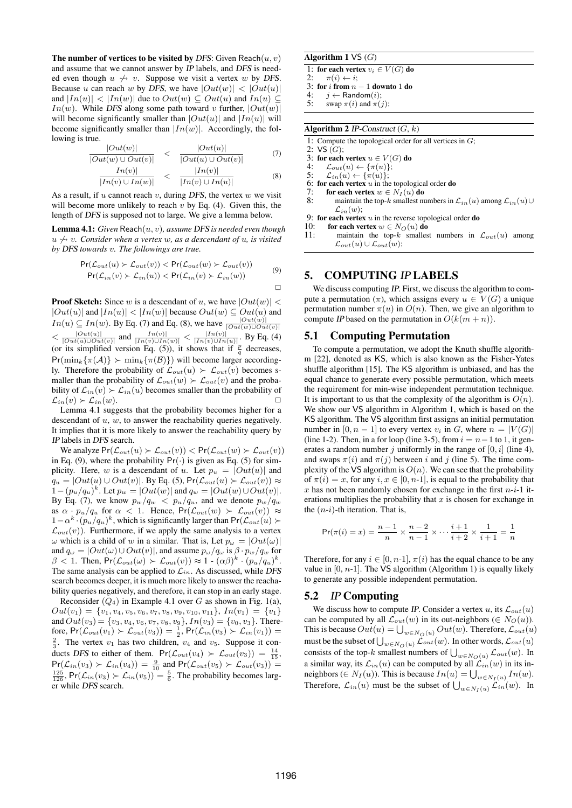The number of vertices to be visited by *DFS*: Given  $\text{Reach}(u, v)$ and assume that we cannot answer by IP labels, and DFS is needed even though  $u \nleftrightarrow v$ . Suppose we visit a vertex w by DFS. Because *u* can reach *w* by DFS, we have  $|Out(w)| < |Out(u)|$ and  $|In(u)| < |In(w)|$  due to  $Out(w) \subseteq Out(u)$  and  $In(u) \subseteq$ *In*(*w*). While DFS along some path toward *v* further,  $|Out(w)|$ will become significantly smaller than  $|Out(u)|$  and  $|In(u)|$  will become significantly smaller than  $|In(w)|$ . Accordingly, the following is true.

$$
\frac{|Out(w)|}{|Out(w) \cup Out(v)|} < \frac{|Out(u)|}{|Out(u) \cup Out(v)|} \tag{7}
$$

$$
\frac{In(v)|}{|In(v) \cup In(w)|} < \frac{|In(v)|}{|In(v) \cup In(u)|} \tag{8}
$$

As a result, if *u* cannot reach *v*, during DFS, the vertex *w* we visit will become more unlikely to reach *v* by Eq. (4). Given this, the length of DFS is supposed not to large. We give a lemma below.

Lemma 4.1: *Given* Reach(*u, v*)*, assume* DFS *is needed even though*  $u \nleftrightarrow v$ *. Consider when a vertex w, as a descendant of u, is visited by* DFS *towards v. The followings are true.*

$$
Pr(\mathcal{L}_{out}(u) \succ \mathcal{L}_{out}(v)) < Pr(\mathcal{L}_{out}(w) \succ \mathcal{L}_{out}(v))
$$
  
\n
$$
Pr(\mathcal{L}_{in}(v) \succ \mathcal{L}_{in}(u)) < Pr(\mathcal{L}_{in}(v) \succ \mathcal{L}_{in}(w))
$$
\n
$$
\Box
$$

**Proof Sketch:** Since *w* is a descendant of *u*, we have  $|Out(w)| <$  $|Out(u)|$  and  $|In(u)| < |In(w)|$  because  $Out(w) \subseteq Out(u)$  and *In*(*u*)  $\subseteq$  *In*(*w*). By Eq. (7) and Eq. (8), we have  $\frac{|Out(w)|}{|Out(w)|Out(v)|}$  $\lt \frac{|Out(u)|}{|Out(u)| \cup Out(v)|}$  and  $\frac{|In(v)|}{|In(v) \cup In(w)|} \lt \frac{|In(v)|}{|In(v) \cup In(u)|}$ . By Eq. (4) (or its simplified version Eq. (5)), it shows that if  $\frac{p}{q}$  decreases,  $Pr(\min_k {\{\pi(\mathcal{A})\}} > \min_k {\{\pi(\mathcal{B})\}})$  will become larger accordingly. Therefore the probability of  $\mathcal{L}_{out}(u) \succ \mathcal{L}_{out}(v)$  becomes smaller than the probability of  $\mathcal{L}_{out}(w) \succ \mathcal{L}_{out}(v)$  and the probability of  $\mathcal{L}_{in}(v) \succ \mathcal{L}_{in}(u)$  becomes smaller than the probability of  $\mathcal{L}_{in}(v) \succ \mathcal{L}_{in}(w)$ .

Lemma 4.1 suggests that the probability becomes higher for a descendant of *u*, *w*, to answer the reachability queries negatively. It implies that it is more likely to answer the reachability query by IP labels in DFS search.

We analyze  $Pr(\mathcal{L}_{out}(u) \succ \mathcal{L}_{out}(v)) < Pr(\mathcal{L}_{out}(w) \succ \mathcal{L}_{out}(v))$ in Eq. (9), where the probability  $Pr(\cdot)$  is given as Eq. (5) for simplicity. Here, *w* is a descendant of *u*. Let  $p_u = |Out(u)|$  and *q*<sub>*u*</sub> =  $|Out(u) \cup Out(v)|$ . By Eq. (5), Pr( $\mathcal{L}_{out}(u) \succ \mathcal{L}_{out}(v)$ ) ≈  $1-(p_u/q_u)^k$ . Let  $p_w = |Out(w)|$  and  $q_w = |Out(w) \cup Out(v)|$ . By Eq. (7), we know  $p_w/q_w < p_u/q_u$ , and we denote  $p_w/q_w$ as  $\alpha \cdot p_u/q_u$  for  $\alpha < 1$ . Hence,  $Pr(\mathcal{L}_{out}(w) > \mathcal{L}_{out}(v)) \approx$  $1 − \alpha^k \cdot (p_u/q_u)^k$ , which is significantly larger than  $Pr(\mathcal{L}_{out}(u) \succ$  $\mathcal{L}_{out}(v)$ ). Furthermore, if we apply the same analysis to a vertex *ω* which is a child of *w* in a similar. That is, Let  $p<sub>ω</sub> = |Out(ω)|$ and  $q_{\omega} = |Out(\omega) \cup Out(v)|$ , and assume  $p_{\omega}/q_{\omega}$  is  $\beta \cdot p_w/q_w$  for  $\beta$  < 1. Then,  $Pr(\mathcal{L}_{out}(\omega) > \mathcal{L}_{out}(v)) \approx 1 - (\alpha \beta)^k \cdot (p_u/q_u)^k$ . The same analysis can be applied to  $\mathcal{L}_{in}$ . As discussed, while DFS search becomes deeper, it is much more likely to answer the reachability queries negatively, and therefore, it can stop in an early stage.

Reconsider  $(Q_4)$  in Example 4.1 over *G* as shown in Fig. 1(a),  $Out(v_1) = \{v_1, v_4, v_5, v_6, v_7, v_8, v_9, v_{10}, v_{11}\}, \, In(v_1) = \{v_1\}$ and  $Out(v_3) = \{v_3, v_4, v_6, v_7, v_8, v_9\}, In(v_3) = \{v_0, v_3\}.$  Therefore,  $Pr(\mathcal{L}_{out}(v_1) \succ \mathcal{L}_{out}(v_3)) = \frac{1}{2}$ ,  $Pr(\mathcal{L}_{in}(v_3) \succ \mathcal{L}_{in}(v_1)) =$  $\frac{2}{3}$ . The vertex  $v_1$  has two children,  $v_4$  and  $v_5$ . Suppose it conducts DFS to either of them.  $Pr(\mathcal{L}_{out}(v_4) > \mathcal{L}_{out}(v_3)) = \frac{14}{15}$  $Pr(\mathcal{L}_{in}(v_3) \succ \mathcal{L}_{in}(v_4)) = \frac{9}{10}$  and  $Pr(\mathcal{L}_{out}(v_5) \succ \mathcal{L}_{out}(v_3)) =$  $\frac{125}{126}$ , Pr( $\mathcal{L}_{in}(v_3) \succ \mathcal{L}_{in}(v_5)$ ) =  $\frac{5}{6}$ . The probability becomes larger while DFS search.

#### Algorithm 1 VS (*G*)

1: for each vertex  $v_i \in V(G)$  do<br>2:  $\pi(i) \leftarrow i$ :

 $\pi(i) \leftarrow i$ ;

3: for *i* from  $n - 1$  downto 1 do<br>4:  $i \leftarrow$  Random(*i*):

4: *j* ← Random(*i*);<br>5: swan π(*i*) and π(*i* swap  $\pi(i)$  and  $\pi(j)$ ;

#### Algorithm 2 IP-Construct (*G*, *k*)

1: Compute the topological order for all vertices in  $G$ ;<br>2:  $\forall S(G)$ :

2: VS (*G*);

3: for each vertex  $u \in V(G)$  do<br>4:  $\mathcal{L}_{out}(u) \leftarrow {\{\pi(u)\}}$ :

4:  $\mathcal{L}_{out}(u) \leftarrow {\pi(u)};$ <br>5:  $\mathcal{L}_{in}(u) \leftarrow {\pi(u)};$  $\mathcal{L}_{in}(u) \leftarrow {\pi(u)};$ 

6: **for each vertex** *u* in the topological order **do**<br>7. **for each vertex**  $w \in N_x(u)$  **do** 

- 7: **for each vertex**  $w \in N_I(u)$  **do**<br>8: maintain the top-k smallest nu maintain the top-*k* smallest numbers in  $\mathcal{L}_{in}(u)$  among  $\mathcal{L}_{in}(u) \cup$  $\mathcal{L}_{in}(w)$ ;
- 9: for each vertex *u* in the reverse topological order **do** 10: for each vertex  $w \in N_O(u)$  **do**
- 10: **for each vertex**  $w \in N_O(u)$  **do**<br>11: maintain the top-k smalles
- maintain the top- $k$  smallest numbers in  $\mathcal{L}_{out}(u)$  among  $\mathcal{L}_{out}(u) \cup \mathcal{L}_{out}(w);$

#### 5. COMPUTING IP LABELS

We discuss computing IP. First, we discuss the algorithm to compute a permutation  $(\pi)$ , which assigns every  $u \in V(G)$  a unique permutation number  $\pi(u)$  in  $O(n)$ . Then, we give an algorithm to compute *IP* based on the permutation in  $O(k(m + n))$ .

#### 5.1 Computing Permutation

To compute a permutation, we adopt the Knuth shuffle algorithm [22], denoted as KS, which is also known as the Fisher-Yates shuffle algorithm [15]. The KS algorithm is unbiased, and has the equal chance to generate every possible permutation, which meets the requirement for min-wise independent permutation technique. It is important to us that the complexity of the algorithm is  $O(n)$ . We show our VS algorithm in Algorithm 1, which is based on the KS algorithm. The VS algorithm first assigns an initial permutation number in  $[0, n - 1]$  to every vertex  $v_i$  in  $G$ , where  $n = |V(G)|$ (line 1-2). Then, in a for loop (line 3-5), from  $i = n-1$  to 1, it generates a random number  $j$  uniformly in the range of  $[0, i]$  (line 4), and swaps  $\pi(i)$  and  $\pi(j)$  between *i* and *j* (line 5). The time complexity of the VS algorithm is  $O(n)$ . We can see that the probability of  $\pi(i) = x$ , for any  $i, x \in [0, n-1]$ , is equal to the probability that  $x$  has not been randomly chosen for exchange in the first  $n-i-1$  iterations multiplies the probability that *x* is chosen for exchange in the (*n*-*i*)-th iteration. That is,

$$
\Pr(\pi(i) = x) = \frac{n-1}{n} \times \frac{n-2}{n-1} \times \cdots \frac{i+1}{i+2} \times \frac{1}{i+1} = \frac{1}{n}
$$

Therefore, for any  $i \in [0, n-1]$ ,  $\pi(i)$  has the equal chance to be any value in  $[0, n-1]$ . The VS algorithm (Algorithm 1) is equally likely to generate any possible independent permutation.

#### 5.2 IP Computing

We discuss how to compute *IP*. Consider a vertex *u*, its  $\mathcal{L}_{out}(u)$ can be computed by all  $\mathcal{L}_{out}(w)$  in its out-neighbors ( $\in N_O(u)$ ). This is because  $Out(u) = \bigcup_{w \in N_O(u)} Out(w)$ . Therefore,  $\mathcal{L}_{out}(u)$ must be the subset of  $\bigcup_{w \in N_O(u)} \mathcal{L}_{out}(w)$ . In other words,  $\mathcal{L}_{out}(u)$ consists of the top-*k* smallest numbers of  $\bigcup_{w \in N_O(u)} \mathcal{L}_{out}(w)$ . In a similar way, its  $\mathcal{L}_{in}(u)$  can be computed by all  $\mathcal{L}_{in}(w)$  in its inneighbors ( $\in N_I(u)$ ). This is because  $In(u) = \bigcup_{w \in N_I(u)} In(w)$ . Therefore,  $\mathcal{L}_{in}(u)$  must be the subset of  $\bigcup_{w \in N_I(u)} \mathcal{L}_{in}(w)$ . In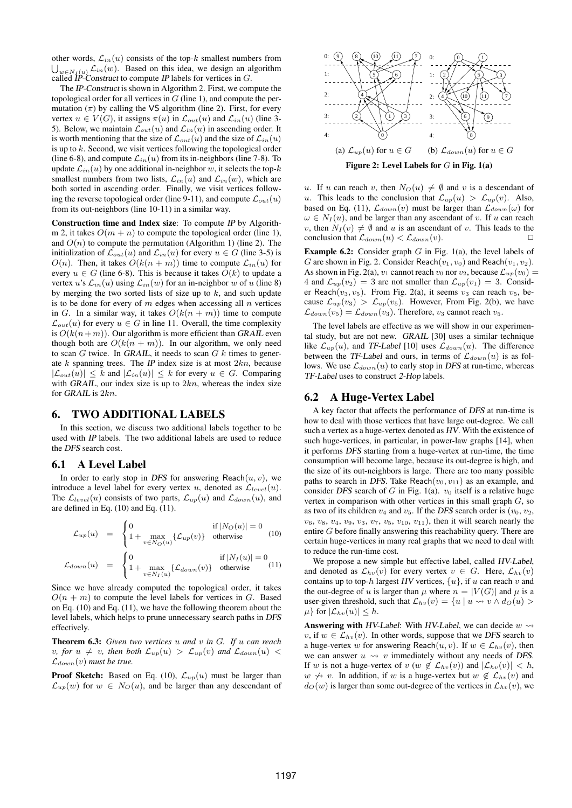other words,  $\mathcal{L}_{in}(u)$  consists of the top- $k$  smallest numbers from  $\bigcup_{w \in N_I(u)} \mathcal{L}_{in}(w)$ . Based on this idea, we design an algorithm called *IP*-Construct to compute *IP* labels for vertices in *G*.

The IP-Construct is shown in Algorithm 2. First, we compute the topological order for all vertices in *G* (line 1), and compute the permutation  $(\pi)$  by calling the VS algorithm (line 2). First, for every vertex  $u \in V(G)$ , it assigns  $\pi(u)$  in  $\mathcal{L}_{out}(u)$  and  $\mathcal{L}_{in}(u)$  (line 3-5). Below, we maintain  $\mathcal{L}_{out}(u)$  and  $\mathcal{L}_{in}(u)$  in ascending order. It is worth mentioning that the size of  $\mathcal{L}_{out}(u)$  and the size of  $\mathcal{L}_{in}(u)$ is up to *k*. Second, we visit vertices following the topological order (line 6-8), and compute  $\mathcal{L}_{in}(u)$  from its in-neighbors (line 7-8). To update  $\mathcal{L}_{in}(u)$  by one additional in-neighbor *w*, it selects the top-*k* smallest numbers from two lists,  $\mathcal{L}_{in}(u)$  and  $\mathcal{L}_{in}(w)$ , which are both sorted in ascending order. Finally, we visit vertices following the reverse topological order (line 9-11), and compute  $\mathcal{L}_{out}(u)$ from its out-neighbors (line 10-11) in a similar way.

Construction time and Index size: To compute IP by Algorithm 2, it takes  $O(m + n)$  to compute the topological order (line 1), and  $O(n)$  to compute the permutation (Algorithm 1) (line 2). The initialization of  $\mathcal{L}_{out}(u)$  and  $\mathcal{L}_{in}(u)$  for every  $u \in G$  (line 3-5) is *O*(*n*). Then, it takes  $O(k(n + m))$  time to compute  $\mathcal{L}_{in}(u)$  for every  $u \in G$  (line 6-8). This is because it takes  $O(k)$  to update a vertex *u*'s  $\mathcal{L}_{in}(u)$  using  $\mathcal{L}_{in}(w)$  for an in-neighbor *w* of *u* (line 8) by merging the two sorted lists of size up to *k*, and such update is to be done for every of *m* edges when accessing all *n* vertices in *G*. In a similar way, it takes  $O(k(n + m))$  time to compute  $\mathcal{L}_{out}(u)$  for every  $u \in G$  in line 11. Overall, the time complexity is  $O(k(n+m))$ . Our algorithm is more efficient than GRAIL even though both are  $O(k(n + m))$ . In our algorithm, we only need to scan *G* twice. In GRAIL, it needs to scan *G k* times to generate *k* spanning trees. The IP index size is at most 2*kn*, because  $|\mathcal{L}_{out}(u)| \leq k$  and  $|\mathcal{L}_{in}(u)| \leq k$  for every  $u \in G$ . Comparing with GRAIL, our index size is up to 2*kn*, whereas the index size for GRAIL is 2*kn*.

#### 6. TWO ADDITIONAL LABELS

In this section, we discuss two additional labels together to be used with IP labels. The two additional labels are used to reduce the DFS search cost.

#### 6.1 A Level Label

In order to early stop in DFS for answering Reach $(u, v)$ , we introduce a level label for every vertex  $u$ , denoted as  $\mathcal{L}_{level}(u)$ . The  $\mathcal{L}_{level}(u)$  consists of two parts,  $\mathcal{L}_{up}(u)$  and  $\mathcal{L}_{down}(u)$ , and are defined in Eq. (10) and Eq. (11).

$$
\mathcal{L}_{up}(u) = \begin{cases} 0 & \text{if } |N_O(u)| = 0\\ 1 + \max_{v \in N_O(u)} \{\mathcal{L}_{up}(v)\} & \text{otherwise} \end{cases}
$$
(10)

$$
\mathcal{L}_{down}(u) = \begin{cases} 0 & \text{if } |N_I(u)| = 0\\ 1 + \max_{v \in N_I(u)} \{ \mathcal{L}_{down}(v) \} & \text{otherwise} \end{cases}
$$
(11)

Since we have already computed the topological order, it takes  $O(n + m)$  to compute the level labels for vertices in *G*. Based on Eq. (10) and Eq. (11), we have the following theorem about the level labels, which helps to prune unnecessary search paths in DFS effectively.

Theorem 6.3: *Given two vertices u and v in G. If u can reach v, for*  $u \neq v$ *, then both*  $\mathcal{L}_{up}(u) > \mathcal{L}_{up}(v)$  *and*  $\mathcal{L}_{down}(u) <$  $\mathcal{L}_{down}(v)$  *must be true.* 

**Proof Sketch:** Based on Eq. (10),  $\mathcal{L}_{up}(u)$  must be larger than  $\mathcal{L}_{up}(w)$  for  $w \in N_O(u)$ , and be larger than any descendant of



*u*. If *u* can reach *v*, then  $N_O(u) \neq \emptyset$  and *v* is a descendant of *u*. This leads to the conclusion that  $\mathcal{L}_{up}(u) > \mathcal{L}_{up}(v)$ . Also, based on Eq. (11),  $\mathcal{L}_{down}(v)$  must be larger than  $\mathcal{L}_{down}(\omega)$  for  $\omega \in N_I(u)$ , and be larger than any ascendant of *v*. If *u* can reach *v*, then  $N_I(v) \neq \emptyset$  and *u* is an ascendant of *v*. This leads to the conclusion that  $\mathcal{L}_{down}(u) < \mathcal{L}_{down}(v)$ .

Example 6.2: Consider graph *G* in Fig. 1(a), the level labels of *G* are shown in Fig. 2. Consider Reach $(v_1, v_0)$  and Reach $(v_1, v_2)$ . As shown in Fig. 2(a),  $v_1$  cannot reach  $v_0$  nor  $v_2$ , because  $\mathcal{L}_{up}(v_0)$  = 4 and  $\mathcal{L}_{up}(v_2) = 3$  are not smaller than  $\mathcal{L}_{up}(v_1) = 3$ . Consider Reach(*v*3*, v*5). From Fig. 2(a), it seems *v*<sup>3</sup> can reach *v*5, because  $\mathcal{L}_{up}(v_3) > \mathcal{L}_{up}(v_5)$ . However, From Fig. 2(b), we have  $\mathcal{L}_{down}(v_5) = \mathcal{L}_{down}(v_3)$ . Therefore, *v*<sub>3</sub> cannot reach *v*<sub>5</sub>.

The level labels are effective as we will show in our experimental study, but are not new. GRAIL [30] uses a similar technique like  $\mathcal{L}_{up}(u)$ , and TF-Label [10] uses  $\mathcal{L}_{down}(u)$ . The difference between the TF-Label and ours, in terms of  $\mathcal{L}_{down}(u)$  is as follows. We use  $\mathcal{L}_{down}(u)$  to early stop in DFS at run-time, whereas TF-Label uses to construct 2-Hop labels.

#### 6.2 A Huge-Vertex Label

A key factor that affects the performance of DFS at run-time is how to deal with those vertices that have large out-degree. We call such a vertex as a huge-vertex denoted as HV. With the existence of such huge-vertices, in particular, in power-law graphs [14], when it performs DFS starting from a huge-vertex at run-time, the time consumption will become large, because its out-degree is high, and the size of its out-neighbors is large. There are too many possible paths to search in DFS. Take Reach $(v_0, v_{11})$  as an example, and consider DFS search of *G* in Fig. 1(a). *v*<sup>0</sup> itself is a relative huge vertex in comparison with other vertices in this small graph *G*, so as two of its children  $v_4$  and  $v_5$ . If the DFS search order is  $(v_0, v_2,$  $v_6, v_8, v_4, v_9, v_3, v_7, v_5, v_{10}, v_{11}$ , then it will search nearly the entire *G* before finally answering this reachability query. There are certain huge-vertices in many real graphs that we need to deal with to reduce the run-time cost.

We propose a new simple but effective label, called HV-Label, and denoted as  $\mathcal{L}_{hv}(v)$  for every vertex  $v \in G$ . Here,  $\mathcal{L}_{hv}(v)$ contains up to top-*h* largest HV vertices, *{u}*, if *u* can reach *v* and the out-degree of *u* is larger than  $\mu$  where  $n = |V(G)|$  and  $\mu$  is a user-given threshold, such that  $\mathcal{L}_{hv}(v) = \{u \mid u \leadsto v \land d_O(u) >$  $\mu$ *}* for  $|\mathcal{L}_{hv}(u)| \leq h$ .

Answering with HV-Label: With HV-Label, we can decide  $w \rightarrow$ *v*, if  $w \in \mathcal{L}_{hv}(v)$ . In other words, suppose that we DFS search to a huge-vertex *w* for answering Reach $(u, v)$ . If  $w \in \mathcal{L}_{hv}(v)$ , then we can answer  $u \leadsto v$  immediately without any needs of DFS. If *w* is not a huge-vertex of *v* (*w*  $\notin$   $\mathcal{L}_{hv}(v)$ ) and  $|\mathcal{L}_{hv}(v)| < h$ , *w*  $\not\leftrightarrow$  *v*. In addition, if *w* is a huge-vertex but *w* ∉  $\mathcal{L}_{hv}(v)$  and  $d_0(w)$  is larger than some out-degree of the vertices in  $\mathcal{L}_{hv}(v)$ , we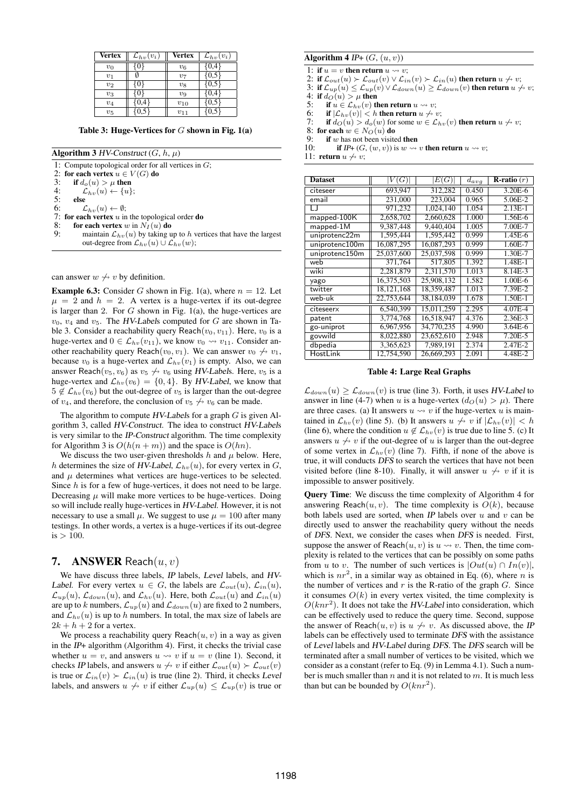| <b>Vertex</b> | $\mathcal{L}_{hv}(v_i)$ | <b>Vertex</b> | $\mathcal{L}_{hv}(v_i)$ |
|---------------|-------------------------|---------------|-------------------------|
| $v_0$         |                         | $v_6$         |                         |
| $v_1$         |                         | $v_7$         | 0.5                     |
| $v_2$         |                         | $v_8$         |                         |
| $v_3$         |                         | $v_9$         |                         |
| $v_4$         |                         | $v_{10}$      |                         |
| $v_5$         |                         | $v_{11}$      |                         |

Table 3: Huge-Vertices for *G* shown in Fig. 1(a)

Algorithm 3 HV-Construct  $(G, h, \mu)$ 

1: Compute topological order for all vertices in *G*; 2: for each vertex  $u \in V(G)$  do<br>3: if  $d_{\alpha}(u) > u$  then 3: if  $d_o(u) > \mu$  then<br>4:  $\mathcal{L}_{bv}(u) \leftarrow \{u\}$ 4:  $\mathcal{L}_{hv}(u) \leftarrow \{u\};$ <br>5: **else** 5: else<br>6:  $\angle$  $\mathcal{L}_{hv}(u) \leftarrow \emptyset;$ 7: **for each vertex** *u* in the topological order **do** 8: **for each vertex** *w* in  $N<sub>I</sub>(u)$  **do** 8: **for each vertex** *w* in  $N_I(u)$  **do**<br>9: maintain  $\mathcal{L}_{bw}(u)$  by taking **i** maintain  $\mathcal{L}_{hv}(u)$  by taking up to *h* vertices that have the largest out-degree from  $\mathcal{L}_{hv}(u) \cup \mathcal{L}_{hv}(w)$ ;

can answer  $w \nleftrightarrow v$  by definition.

**Example 6.3:** Consider *G* shown in Fig. 1(a), where  $n = 12$ . Let  $\mu = 2$  and  $h = 2$ . A vertex is a huge-vertex if its out-degree is larger than 2. For *G* shown in Fig. 1(a), the huge-vertices are  $v_0$ ,  $v_4$  and  $v_5$ . The *HV-Labels* computed for *G* are shown in Table 3. Consider a reachability query Reach $(v_0, v_{11})$ . Here,  $v_0$  is a huge-vertex and  $0 \in \mathcal{L}_{hv}(v_{11})$ , we know  $v_0 \leadsto v_{11}$ . Consider another reachability query Reach $(v_0, v_1)$ . We can answer  $v_0 \nleftrightarrow v_1$ , because  $v_0$  is a huge-vertex and  $\mathcal{L}_{hv}(v_1)$  is empty. Also, we can answer Reach( $v_5$ ,  $v_6$ ) as  $v_5 \nleftrightarrow v_6$  using HV-Labels. Here,  $v_5$  is a huge-vertex and  $\mathcal{L}_{hv}(v_6) = \{0, 4\}$ . By *HV-Label*, we know that  $5 \notin \mathcal{L}_{hv}(v_6)$  but the out-degree of  $v_5$  is larger than the out-degree of  $v_4$ , and therefore, the conclusion of  $v_5 \nleftrightarrow v_6$  can be made.

The algorithm to compute HV-Labels for a graph *G* is given Algorithm 3, called HV-Construct. The idea to construct HV-Labels is very similar to the IP-Construct algorithm. The time complexity for Algorithm 3 is  $O(h(n + m))$  and the space is  $O(hn)$ .

We discuss the two user-given thresholds  $h$  and  $\mu$  below. Here, *h* determines the size of *HV-Label*,  $\mathcal{L}_{hv}(u)$ , for every vertex in *G*, and  $\mu$  determines what vertices are huge-vertices to be selected. Since *h* is for a few of huge-vertices, it does not need to be large. Decreasing  $\mu$  will make more vertices to be huge-vertices. Doing so will include really huge-vertices in HV-Label. However, it is not necessary to use a small  $\mu$ . We suggest to use  $\mu = 100$  after many testings. In other words, a vertex is a huge-vertices if its out-degree  $is > 100.$ 

#### 7. ANSWER Reach(*u, v*)

We have discuss three labels, IP labels, Level labels, and HV-*Label.* For every vertex  $u \in G$ , the labels are  $\mathcal{L}_{out}(u)$ ,  $\mathcal{L}_{in}(u)$ ,  $\mathcal{L}_{up}(u)$ ,  $\mathcal{L}_{down}(u)$ , and  $\mathcal{L}_{hv}(u)$ . Here, both  $\mathcal{L}_{out}(u)$  and  $\mathcal{L}_{in}(u)$ are up to *k* numbers,  $\mathcal{L}_{up}(u)$  and  $\mathcal{L}_{down}(u)$  are fixed to 2 numbers, and  $\mathcal{L}_{hv}(u)$  is up to *h* numbers. In total, the max size of labels are  $2k + h + 2$  for a vertex.

We process a reachability query  $Reach(u, v)$  in a way as given in the IP+ algorithm (Algorithm 4). First, it checks the trivial case whether  $u = v$ , and answers  $u \leadsto v$  if  $u = v$  (line 1). Second, it checks *IP* labels, and answers  $u \nleftrightarrow v$  if either  $\mathcal{L}_{out}(u) \succ \mathcal{L}_{out}(v)$ is true or  $\mathcal{L}_{in}(v) \succ \mathcal{L}_{in}(u)$  is true (line 2). Third, it checks Level labels, and answers  $u \nleftrightarrow v$  if either  $\mathcal{L}_{up}(u) \leq \mathcal{L}_{up}(v)$  is true or

# Algorithm  $4$  IP+  $(G, (u, v))$

1: if  $u = v$  then return  $u \rightsquigarrow v$ ;

2: if  $\mathcal{L}_{out}(u) \succ \mathcal{L}_{out}(v) \vee \mathcal{L}_{in}(v) \succ \mathcal{L}_{in}(u)$  then return  $u \nleftrightarrow v$ ;

3: if  $\mathcal{L}_{up}(u) \leq \mathcal{L}_{up}(v) \vee \mathcal{L}_{down}(u) \geq \mathcal{L}_{down}(v)$  then return  $u \nleftrightarrow v$ ;

4: if  $d_O(u) > \mu$  then<br>5: if  $u \in L_{b_0}(v)$  then

5: if  $u \in \mathcal{L}_{hv}(v)$  then return  $u \rightsquigarrow v$ ;<br>6: if  $|\mathcal{L}_{hv}(v)| < h$  then return  $u \nleftrightarrow v$ 

6: if  $|\mathcal{L}_{hv}(v)| < h$  then return  $u \nleftrightarrow v$ ;<br>7: if  $d_O(u) > d_O(w)$  for some  $w \in \mathcal{L}_h$ 

if  $d_O(u) > d_o(w)$  for some  $w \in \mathcal{L}_{hv}(v)$  then return  $u \nleftrightarrow v$ ;

8: for each  $w \in N_O(u)$  do<br>9: **if** *w* has not been visite

9: if *w* has not been visited then<br>10: if  $IP+ (G, (w, v))$  is  $w \rightarrow$ if IP+  $(G, (w, v))$  is  $w \rightsquigarrow v$  then return  $u \rightsquigarrow v$ ;

11: return  $u \nleftrightarrow v$ ;

| <b>Dataset</b> | (G)          | E(G)       | $d_{avg}$ | <b>R</b> -ratio $(r)$ |
|----------------|--------------|------------|-----------|-----------------------|
| citeseer       | 693,947      | 312,282    | 0.450     | 3.20E-6               |
| email          | 231,000      | 223,004    | 0.965     | 5.06E-2               |
| $\Box$         | 971.232      | 1.024.140  | 1.054     | $2.13E-1$             |
| mapped-100K    | 2,658,702    | 2.660.628  | 1.000     | 1.56E-6               |
| mapped-1M      | 9,387,448    | 9.440.404  | 1.005     | 7.00E-7               |
| uniprotenc22m  | 1,595,444    | 1,595,442  | 0.999     | 1.45E-6               |
| uniprotenc100m | 16,087,295   | 16.087.293 | 0.999     | 1.60E-7               |
| uniprotenc150m | 25,037,600   | 25,037,598 | 0.999     | 1.30E-7               |
| web            | 371,764      | 517,805    | 1.392     | 1.48E-1               |
| wiki           | 2,281,879    | 2.311.570  | 1.013     | 8.14E-3               |
| yago           | 16,375,503   | 25.908.132 | 1.582     | 1.00E-6               |
| twitter        | 18, 121, 168 | 18.359.487 | 1.013     | 7.39E-2               |
| web-uk         | 22,753,644   | 38,184,039 | 1.678     | 1.50E-1               |
| citeseerx      | 6,540,399    | 15.011.259 | 2.295     | $4.07E - 4$           |
| patent         | 3,774,768    | 16.518.947 | 4.376     | 2.36E-3               |
| go-uniprot     | 6,967,956    | 34,770,235 | 4.990     | 3.64E-6               |
| govwild        | 8,022,880    | 23.652.610 | 2.948     | 7.20E-5               |
| dbpedia        | 3,365,623    | 7.989.191  | 2.374     | 2.47E-2               |
| HostLink       | 12,754,590   | 26,669,293 | 2.091     | 4.48E-2               |

Table 4: Large Real Graphs

 $\mathcal{L}_{down}(u) \geq \mathcal{L}_{down}(v)$  is true (line 3). Forth, it uses *HV-Label* to answer in line (4-7) when *u* is a huge-vertex  $(d_O(u) > \mu)$ . There are three cases. (a) It answers  $u \rightsquigarrow v$  if the huge-vertex  $u$  is maintained in  $\mathcal{L}_{hv}(v)$  (line 5). (b) It answers  $u \nleftrightarrow v$  if  $|\mathcal{L}_{hv}(v)| < h$ (line 6), where the condition  $u \notin \mathcal{L}_{hv}(v)$  is true due to line 5. (c) It answers  $u \nleftrightarrow v$  if the out-degree of  $u$  is larger than the out-degree of some vertex in  $\mathcal{L}_{hv}(v)$  (line 7). Fifth, if none of the above is true, it will conducts DFS to search the vertices that have not been visited before (line 8-10). Finally, it will answer  $u \nleftrightarrow v$  if it is impossible to answer positively.

Query Time: We discuss the time complexity of Algorithm 4 for answering Reach $(u, v)$ . The time complexity is  $O(k)$ , because both labels used are sorted, when IP labels over *u* and *v* can be directly used to answer the reachability query without the needs of DFS. Next, we consider the cases when DFS is needed. First, suppose the answer of Reach $(u, v)$  is  $u \rightsquigarrow v$ . Then, the time complexity is related to the vertices that can be possibly on some paths from *u* to *v*. The number of such vertices is  $|Out(u) \cap In(v)|$ , which is  $nr^2$ , in a similar way as obtained in Eq. (6), where *n* is the number of vertices and  $r$  is the R-ratio of the graph  $G$ . Since it consumes  $O(k)$  in every vertex visited, the time complexity is  $O(knr^2)$ . It does not take the *HV-Label* into consideration, which can be effectively used to reduce the query time. Second, suppose the answer of Reach $(u, v)$  is  $u \nleftrightarrow v$ . As discussed above, the IP labels can be effectively used to terminate DFS with the assistance of Level labels and HV-Label during DFS. The DFS search will be terminated after a small number of vertices to be visited, which we consider as a constant (refer to Eq. (9) in Lemma 4.1). Such a number is much smaller than *n* and it is not related to *m*. It is much less than but can be bounded by  $O(knr^2)$ .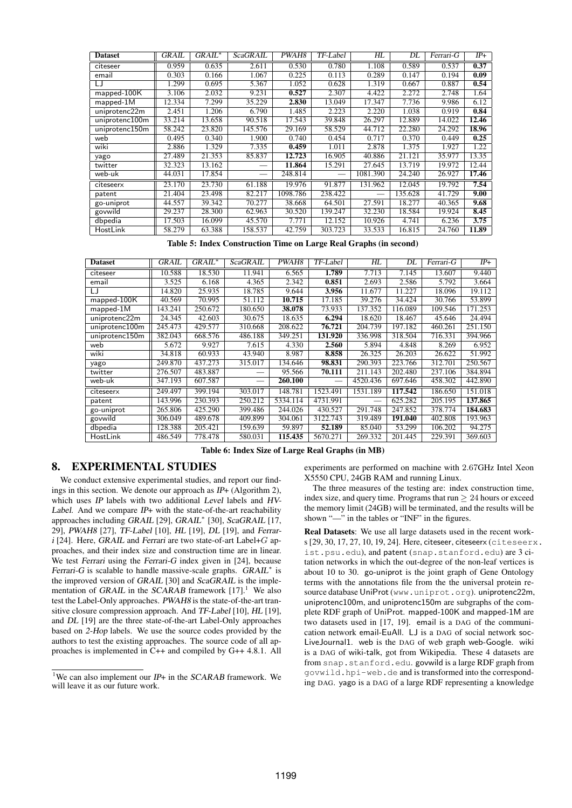| <b>Dataset</b> | GRAIL  | $GRAIL^*$ | <b>ScaGRAIL</b> | PWAH8    | TF-Label | $H\!L$   | DL      | Ferrari-G | $IP+$ |
|----------------|--------|-----------|-----------------|----------|----------|----------|---------|-----------|-------|
| citeseer       | 0.959  | 0.635     | 2.611           | 0.530    | 0.780    | 1.108    | 0.589   | 0.537     | 0.37  |
| email          | 0.303  | 0.166     | 1.067           | 0.225    | 0.113    | 0.289    | 0.147   | 0.194     | 0.09  |
| LJ             | 1.299  | 0.695     | 5.367           | 1.052    | 0.628    | 1.319    | 0.667   | 0.887     | 0.54  |
| $mapped-100K$  | 3.106  | 2.032     | 9.231           | 0.527    | 2.307    | 4.422    | 2.272   | 2.748     | 1.64  |
| $mapped-1M$    | 12.334 | 7.299     | 35.229          | 2.830    | 13.049   | 17.347   | 7.736   | 9.986     | 6.12  |
| uniprotenc22m  | 2.451  | 1.206     | 6.790           | 1.485    | 2.223    | 2.220    | 1.038   | 0.919     | 0.84  |
| uniprotenc100m | 33.214 | 13.658    | 90.518          | 17.543   | 39.848   | 26.297   | 12.889  | 14.022    | 12.46 |
| uniprotenc150m | 58.242 | 23.820    | 145.576         | 29.169   | 58.529   | 44.712   | 22.280  | 24.292    | 18.96 |
| web            | 0.495  | 0.340     | 1.900           | 0.740    | 0.454    | 0.717    | 0.370   | 0.449     | 0.25  |
| wiki           | 2.886  | 1.329     | 7.335           | 0.459    | 1.011    | 2.878    | 1.375   | 1.927     | 1.22  |
| yago           | 27.489 | 21.353    | 85.837          | 12.723   | 16.905   | 40.886   | 21.121  | 35.977    | 13.35 |
| twitter        | 32.323 | 13.162    |                 | 11.864   | 15.291   | 27.645   | 13.719  | 19.972    | 12.44 |
| web-uk         | 44.031 | 17.854    |                 | 248.814  |          | 1081.390 | 24.240  | 26.927    | 17.46 |
| citeseerx      | 23.170 | 23.730    | 61.188          | 19.976   | 91.877   | 131.962  | 12.045  | 19.792    | 7.54  |
| patent         | 21.404 | 23.498    | 82.217          | 1098.786 | 238.422  |          | 135.628 | 41.729    | 9.00  |
| go-uniprot     | 44.557 | 39.342    | 70.277          | 38.668   | 64.501   | 27.591   | 18.277  | 40.365    | 9.68  |
| govwild        | 29.237 | 28.300    | 62.963          | 30.520   | 139.247  | 32.230   | 18.584  | 19.924    | 8.45  |
| dbpedia        | 17.503 | 16.099    | 45.570          | 7.771    | 12.152   | 10.926   | 4.741   | 6.236     | 3.75  |
| HostLink       | 58.279 | 63.388    | 158.537         | 42.759   | 303.723  | 33.533   | 16.815  | 24.760    | 11.89 |

Table 5: Index Construction Time on Large Real Graphs (in second)

| <b>Dataset</b> | GRAIL   | $GRAIL^*$ | <b>ScaGRAIL</b> | PWAH8    | TF-Label | HL       | DL      | Ferrari-G | $IP+$   |
|----------------|---------|-----------|-----------------|----------|----------|----------|---------|-----------|---------|
| citeseer       | 10.588  | 18.530    | 11.941          | 6.565    | 1.789    | 7.713    | 7.145   | 13.607    | 9.440   |
| email          | 3.525   | 6.168     | 4.365           | 2.342    | 0.851    | 2.693    | 2.586   | 5.792     | 3.664   |
| LJ             | 14.820  | 25.935    | 18.785          | 9.644    | 3.956    | 11.677   | 11.227  | 18.096    | 19.112  |
| mapped-100K    | 40.569  | 70.995    | 51.112          | 10.715   | 17.185   | 39.276   | 34.424  | 30.766    | 53.899  |
| $mapped-1M$    | 143.241 | 250.672   | 180.650         | 38.078   | 73.933   | 137.352  | 116.089 | 109.546   | 171.253 |
| uniprotenc22m  | 24.345  | 42.603    | 30.675          | 18.635   | 6.294    | 18.620   | 18.467  | 45.646    | 24.494  |
| uniprotenc100m | 245.473 | 429.577   | 310.668         | 208.622  | 76.721   | 204.739  | 197.182 | 460.261   | 251.150 |
| uniprotenc150m | 382.043 | 668.576   | 486.188         | 349.251  | 131.920  | 336.998  | 318.504 | 716.331   | 394.966 |
| web            | 5.672   | 9.927     | 7.615           | 4.330    | 2.560    | 5.894    | 4.848   | 8.269     | 6.952   |
| wiki           | 34.818  | 60.933    | 43.940          | 8.987    | 8.858    | 26.325   | 26.203  | 26.622    | 51.992  |
| yago           | 249.870 | 437.273   | 315.017         | 134.646  | 98.831   | 290.393  | 223.766 | 312.701   | 250.567 |
| twitter        | 276.507 | 483.887   |                 | 95.566   | 70.111   | 211.143  | 202.480 | 237.106   | 384.894 |
| web-uk         | 347.193 | 607.587   |                 | 260.100  |          | 4520.436 | 697.646 | 458.302   | 442.890 |
| citeseerx      | 249.497 | 399.194   | 303.017         | 148.781  | 1523.491 | 1531.189 | 117.542 | 186.650   | 151.018 |
| patent         | 143.996 | 230.393   | 250.212         | 5334.114 | 4731.991 |          | 625.282 | 205.195   | 137.865 |
| go-uniprot     | 265.806 | 425.290   | 399.486         | 244.026  | 430.527  | 291.748  | 247.852 | 378.774   | 184.683 |
| govwild        | 306.049 | 489.678   | 409.899         | 304.061  | 3122.743 | 319.489  | 191.040 | 402.808   | 193.963 |
| dbpedia        | 128.388 | 205.421   | 159.639         | 59.897   | 52.189   | 85.040   | 53.299  | 106.202   | 94.275  |
| HostLink       | 486.549 | 778.478   | 580.031         | 115.435  | 5670.271 | 269.332  | 201.445 | 229.391   | 369.603 |

Table 6: Index Size of Large Real Graphs (in MB)

# 8. EXPERIMENTAL STUDIES

We conduct extensive experimental studies, and report our findings in this section. We denote our approach as IP+ (Algorithm 2), which uses IP labels with two additional Level labels and HV-Label. And we compare  $IP+$  with the state-of-the-art reachability approaches including GRAIL [29], GRAIL *∗* [30], ScaGRAIL [17, 29], PWAH8 [27], TF-Label [10], HL [19], DL [19], and Ferrar<sup>i</sup> [24]. Here, GRAIL and Ferrari are two state-of-art Label+*G* approaches, and their index size and construction time are in linear. We test Ferrari using the Ferrari-G index given in [24], because Ferrari-G is scalable to handle massive-scale graphs. GRAIL *∗* is the improved version of GRAIL [30] and ScaGRAIL is the implementation of GRAIL in the SCARAB framework  $[17]$ <sup>1</sup>. We also test the Label-Only approaches. PWAH8 is the state-of-the-art transitive closure compression approach. And TF-Label [10], HL [19], and DL [19] are the three state-of-the-art Label-Only approaches based on 2-Hop labels. We use the source codes provided by the authors to test the existing approaches. The source code of all approaches is implemented in C++ and compiled by G++ 4.8.1. All

experiments are performed on machine with 2*.*67GHz Intel Xeon X5550 CPU, 24GB RAM and running Linux.

The three measures of the testing are: index construction time, index size, and query time. Programs that run *≥* 24 hours or exceed the memory limit (24GB) will be terminated, and the results will be shown "—" in the tables or "INF" in the figures.

Real Datasets: We use all large datasets used in the recent works [29, 30, 17, 27, 10, 19, 24]. Here, citeseer, citeseerx (citeseerx. ist.psu.edu), and patent (snap.stanford.edu) are 3 citation networks in which the out-degree of the non-leaf vertices is about 10 to 30. go-uniprot is the joint graph of Gene Ontology terms with the annotations file from the the universal protein resource database UniProt (www.uniprot.org). uniprotenc22m, uniprotenc100m, and uniprotenc150m are subgraphs of the complete RDF graph of UniProt. mapped-100K and mapped-1M are two datasets used in [17, 19]. email is a DAG of the communication network email-EuAll. LJ is a DAG of social network soc-LiveJournal1. web is the DAG of web graph web-Google. wiki is a DAG of wiki-talk, got from Wikipedia. These 4 datasets are from snap.stanford.edu. govwild is a large RDF graph from govwild.hpi-web.de and is transformed into the corresponding DAG. yago is a DAG of a large RDF representing a knowledge

<sup>&</sup>lt;sup>1</sup>We can also implement our  $IP+$  in the SCARAB framework. We will leave it as our future work.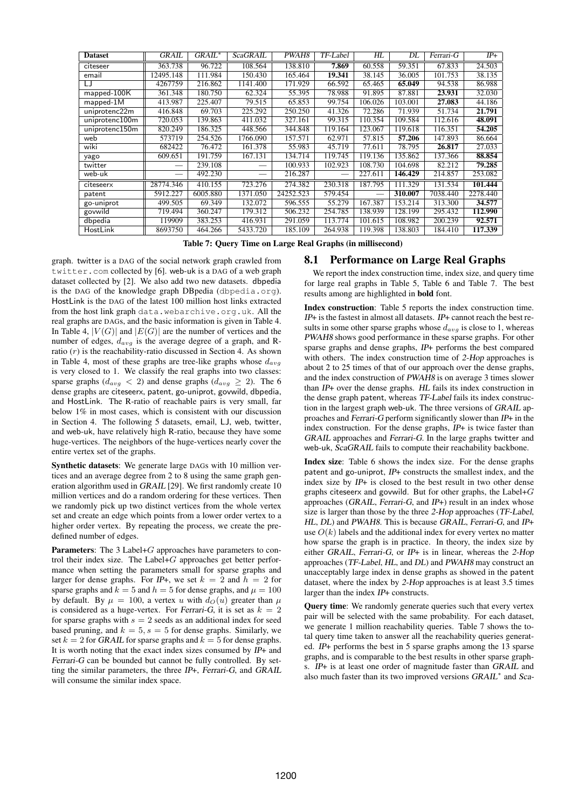| <b>Dataset</b> | GRAIL     | $GRAIL*$ | <b>ScaGRAIL</b> | PWAH8     | $TF$ -Label | HL      | DL      | Ferrari-G | $IP+$    |
|----------------|-----------|----------|-----------------|-----------|-------------|---------|---------|-----------|----------|
| citeseer       | 363.738   | 96.722   | 108.564         | 138.810   | 7.869       | 60.558  | 59.351  | 67.833    | 24.503   |
| email          | 12495.148 | 111.984  | 150.430         | 165.464   | 19.341      | 38.145  | 36.005  | 101.753   | 38.135   |
| IJ             | 4267759   | 216.862  | 1141.400        | 171.929   | 66.592      | 65.465  | 65.049  | 94.538    | 86.988   |
| mapped-100K    | 361.348   | 180.750  | 62.324          | 55.395    | 78.988      | 91.895  | 87.881  | 23.931    | 32.030   |
| $mapped-1M$    | 413.987   | 225.407  | 79.515          | 65.853    | 99.754      | 106.026 | 103.001 | 27.083    | 44.186   |
| uniprotenc22m  | 416.848   | 69.703   | 225.292         | 250.250   | 41.326      | 72.286  | 71.939  | 51.734    | 21.791   |
| uniprotenc100m | 720.053   | 139.863  | 411.032         | 327.161   | 99.315      | 110.354 | 109.584 | 112.616   | 48.091   |
| uniprotenc150m | 820.249   | 186.325  | 448.566         | 344.848   | 119.164     | 123.067 | 119.618 | 116.351   | 54.205   |
| web            | 573719    | 254.526  | 1766.090        | 157.571   | 62.971      | 57.815  | 57.206  | 147.893   | 86.664   |
| wiki           | 682422    | 76.472   | 161.378         | 55.983    | 45.719      | 77.611  | 78.795  | 26.817    | 27.033   |
| yago           | 609.651   | 191.759  | 167.131         | 134.714   | 119.745     | 119.136 | 135.862 | 137.366   | 88.854   |
| twitter        |           | 239.108  |                 | 100.933   | 102.923     | 108.730 | 104.698 | 82.212    | 79.285   |
| web-uk         |           | 492.230  |                 | 216.287   |             | 227.611 | 146.429 | 214.857   | 253.082  |
| citeseerx      | 28774.346 | 410.155  | 723.276         | 274.382   | 230.318     | 187.795 | 111.329 | 131.534   | 101.444  |
| patent         | 5912.227  | 6005.880 | 1371.050        | 24252.523 | 579.454     |         | 310.007 | 7038.440  | 2278.440 |
| go-uniprot     | 499.505   | 69.349   | 132.072         | 596.555   | 55.279      | 167.387 | 153.214 | 313.300   | 34.577   |
| govwild        | 719.494   | 360.247  | 179.312         | 506.232   | 254.785     | 138.939 | 128.199 | 295.432   | 112.990  |
| dbpedia        | 119909    | 383.253  | 416.931         | 291.059   | 113.774     | 101.615 | 108.982 | 200.239   | 92.571   |
| HostLink       | 8693750   | 464.266  | 5433.720        | 185.109   | 264.938     | 119.398 | 138.803 | 184.410   | 117.339  |

Table 7: Query Time on Large Real Graphs (in millisecond)

graph. twitter is a DAG of the social network graph crawled from twitter.com collected by [6]. web-uk is a DAG of a web graph dataset collected by [2]. We also add two new datasets. dbpedia is the DAG of the knowledge graph DBpedia (dbpedia.org). HostLink is the DAG of the latest 100 million host links extracted from the host link graph data.webarchive.org.uk. All the real graphs are DAGs, and the basic information is given in Table 4. In Table 4,  $|V(G)|$  and  $|E(G)|$  are the number of vertices and the number of edges, *davg* is the average degree of a graph, and Rratio (*r*) is the reachability-ratio discussed in Section 4. As shown in Table 4, most of these graphs are tree-like graphs whose *davg* is very closed to 1. We classify the real graphs into two classes: sparse graphs ( $d_{avg} < 2$ ) and dense graphs ( $d_{avg} \ge 2$ ). The 6 dense graphs are citeseerx, patent, go-uniprot, govwild, dbpedia, and HostLink. The R-ratio of reachable pairs is very small, far below 1% in most cases, which is consistent with our discussion in Section 4. The following 5 datasets, email, LJ, web, twitter, and web-uk, have relatively high R-ratio, because they have some huge-vertices. The neighbors of the huge-vertices nearly cover the entire vertex set of the graphs.

Synthetic datasets: We generate large DAGs with 10 million vertices and an average degree from 2 to 8 using the same graph generation algorithm used in GRAIL [29]. We first randomly create 10 million vertices and do a random ordering for these vertices. Then we randomly pick up two distinct vertices from the whole vertex set and create an edge which points from a lower order vertex to a higher order vertex. By repeating the process, we create the predefined number of edges.

Parameters: The 3 Label+*G* approaches have parameters to control their index size. The Label+*G* approaches get better performance when setting the parameters small for sparse graphs and larger for dense graphs. For IP+, we set  $k = 2$  and  $h = 2$  for sparse graphs and  $k = 5$  and  $h = 5$  for dense graphs, and  $\mu = 100$ by default. By  $\mu = 100$ , a vertex *u* with  $d_O(u)$  greater than  $\mu$ is considered as a huge-vertex. For Ferrari-G, it is set as  $k = 2$ for sparse graphs with  $s = 2$  seeds as an additional index for seed based pruning, and  $k = 5$ ,  $s = 5$  for dense graphs. Similarly, we set  $k = 2$  for GRAIL for sparse graphs and  $k = 5$  for dense graphs. It is worth noting that the exact index sizes consumed by IP+ and Ferrari-G can be bounded but cannot be fully controlled. By setting the similar parameters, the three IP+, Ferrari-G, and GRAIL will consume the similar index space.

## 8.1 Performance on Large Real Graphs

We report the index construction time, index size, and query time for large real graphs in Table 5, Table 6 and Table 7. The best results among are highlighted in bold font.

Index construction: Table 5 reports the index construction time. IP+ is the fastest in almost all datasets. IP+ cannot reach the best results in some other sparse graphs whose  $d_{avg}$  is close to 1, whereas PWAH8 shows good performance in these sparse graphs. For other sparse graphs and dense graphs, IP+ performs the best compared with others. The index construction time of 2-Hop approaches is about 2 to 25 times of that of our approach over the dense graphs, and the index construction of PWAH8 is on average 3 times slower than IP+ over the dense graphs. HL fails its index construction in the dense graph patent, whereas TF-Label fails its index construction in the largest graph web-uk. The three versions of GRAIL approaches and Ferrari-G perform significantly slower than IP+ in the index construction. For the dense graphs, IP+ is twice faster than GRAIL approaches and Ferrari-G. In the large graphs twitter and web-uk, ScaGRAIL fails to compute their reachability backbone.

Index size: Table 6 shows the index size. For the dense graphs patent and go-uniprot, IP+ constructs the smallest index, and the index size by IP+ is closed to the best result in two other dense graphs citeseerx and govwild. But for other graphs, the Label+*G* approaches (GRAIL, Ferrari-G, and IP+) result in an index whose size is larger than those by the three 2-Hop approaches (TF-Label, HL, DL) and PWAH8. This is because GRAIL, Ferrari-G, and IP+ use  $O(k)$  labels and the additional index for every vertex no matter how sparse the graph is in practice. In theory, the index size by either GRAIL, Ferrari-G, or IP+ is in linear, whereas the 2-Hop approaches (TF-Label, HL, and DL) and PWAH8 may construct an unacceptably large index in dense graphs as showed in the patent dataset, where the index by 2-Hop approaches is at least 3.5 times larger than the index IP+ constructs.

Query time: We randomly generate queries such that every vertex pair will be selected with the same probability. For each dataset, we generate 1 million reachability queries. Table 7 shows the total query time taken to answer all the reachability queries generated. IP+ performs the best in 5 sparse graphs among the 13 sparse graphs, and is comparable to the best results in other sparse graphs. IP+ is at least one order of magnitude faster than GRAIL and also much faster than its two improved versions GRAIL *∗* and Sca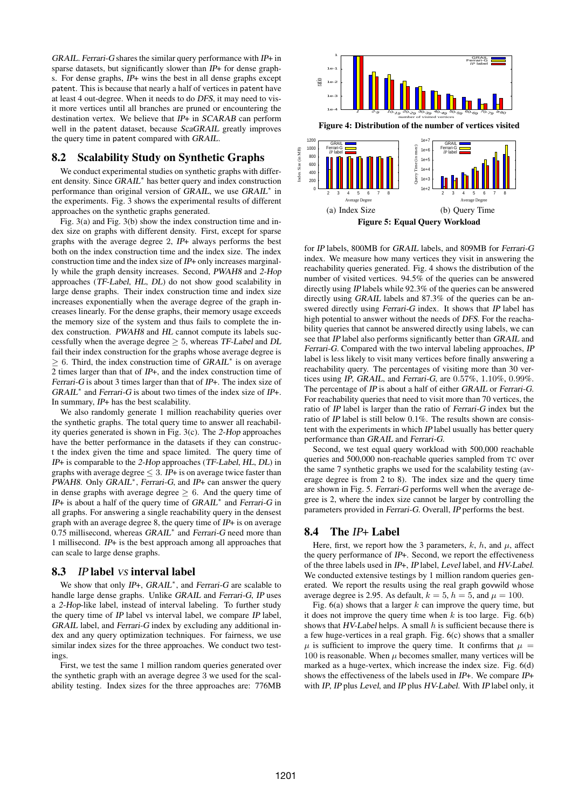GRAIL. Ferrari-G shares the similar query performance with IP+ in sparse datasets, but significantly slower than IP+ for dense graphs. For dense graphs,  $IP+$  wins the best in all dense graphs except patent. This is because that nearly a half of vertices in patent have at least 4 out-degree. When it needs to do DFS, it may need to visit more vertices until all branches are pruned or encountering the destination vertex. We believe that IP+ in SCARAB can perform well in the patent dataset, because ScaGRAIL greatly improves the query time in patent compared with GRAIL.

# 8.2 Scalability Study on Synthetic Graphs

We conduct experimental studies on synthetic graphs with different density. Since GRAIL *∗* has better query and index construction performance than original version of GRAIL, we use GRAIL *∗* in the experiments. Fig. 3 shows the experimental results of different approaches on the synthetic graphs generated.

Fig. 3(a) and Fig. 3(b) show the index construction time and index size on graphs with different density. First, except for sparse graphs with the average degree 2, IP+ always performs the best both on the index construction time and the index size. The index construction time and the index size of IP+ only increases marginally while the graph density increases. Second, PWAH8 and 2-Hop approaches (TF-Label, HL, DL) do not show good scalability in large dense graphs. Their index construction time and index size increases exponentially when the average degree of the graph increases linearly. For the dense graphs, their memory usage exceeds the memory size of the system and thus fails to complete the index construction. PWAH8 and HL cannot compute its labels successfully when the average degree  $\geq 5$ , whereas TF-Label and DL fail their index construction for the graphs whose average degree is *≥* 6. Third, the index construction time of GRAIL *∗* is on average 2 times larger than that of IP+, and the index construction time of Ferrari-G is about 3 times larger than that of IP+. The index size of GRAIL<sup>\*</sup> and Ferrari-G is about two times of the index size of IP+. In summary, IP+ has the best scalability.

We also randomly generate 1 million reachability queries over the synthetic graphs. The total query time to answer all reachability queries generated is shown in Fig. 3(c). The 2-Hop approaches have the better performance in the datasets if they can construct the index given the time and space limited. The query time of IP+ is comparable to the 2-Hop approaches (TF-Label, HL, DL) in graphs with average degree  $\leq$  3. IP+ is on average twice faster than PWAH8. Only GRAIL<sup>\*</sup>, Ferrari-G, and IP+ can answer the query in dense graphs with average degree *≥* 6. And the query time of IP+ is about a half of the query time of GRAIL *∗* and Ferrari-G in all graphs. For answering a single reachability query in the densest graph with an average degree 8, the query time of IP+ is on average 0.75 millisecond, whereas GRAIL *∗* and Ferrari-G need more than 1 millisecond. IP+ is the best approach among all approaches that can scale to large dense graphs.

## 8.3 IP label *vs* interval label

We show that only IP+, GRAIL *∗* , and Ferrari-G are scalable to handle large dense graphs. Unlike GRAIL and Ferrari-G, IP uses a 2-Hop-like label, instead of interval labeling. To further study the query time of IP label vs interval label, we compare IP label, GRAIL label, and Ferrari-G index by excluding any additional index and any query optimization techniques. For fairness, we use similar index sizes for the three approaches. We conduct two testings.

First, we test the same 1 million random queries generated over the synthetic graph with an average degree 3 we used for the scalability testing. Index sizes for the three approaches are: 776MB



for IP labels, 800MB for GRAIL labels, and 809MB for Ferrari-G index. We measure how many vertices they visit in answering the reachability queries generated. Fig. 4 shows the distribution of the number of visited vertices. 94.5% of the queries can be answered directly using IP labels while 92.3% of the queries can be answered directly using GRAIL labels and 87.3% of the queries can be answered directly using Ferrari-G index. It shows that IP label has high potential to answer without the needs of DFS. For the reachability queries that cannot be answered directly using labels, we can see that IP label also performs significantly better than GRAIL and Ferrari-G. Compared with the two interval labeling approaches, IP label is less likely to visit many vertices before finally answering a reachability query. The percentages of visiting more than 30 vertices using IP, GRAIL, and Ferrari-G, are 0*.*57%, 1*.*10%, 0*.*99%. The percentage of IP is about a half of either GRAIL or Ferrari-G. For reachability queries that need to visit more than 70 vertices, the ratio of IP label is larger than the ratio of Ferrari-G index but the ratio of IP label is still below 0.1%. The results shown are consistent with the experiments in which IP label usually has better query performance than GRAIL and Ferrari-G.

Second, we test equal query workload with 500,000 reachable queries and 500,000 non-reachable queries sampled from TC over the same 7 synthetic graphs we used for the scalability testing (average degree is from 2 to 8). The index size and the query time are shown in Fig. 5. Ferrari-G performs well when the average degree is 2, where the index size cannot be larger by controlling the parameters provided in Ferrari-G. Overall, IP performs the best.

# 8.4 The IP+ Label

Here, first, we report how the 3 parameters,  $k$ ,  $h$ , and  $\mu$ , affect the query performance of IP+. Second, we report the effectiveness of the three labels used in IP+, IP label, Level label, and HV-Label. We conducted extensive testings by 1 million random queries generated. We report the results using the real graph govwild whose average degree is 2.95. As default,  $k = 5$ ,  $h = 5$ , and  $\mu = 100$ .

Fig. 6(a) shows that a larger *k* can improve the query time, but it does not improve the query time when  $k$  is too large. Fig.  $6(b)$ shows that HV-Label helps. A small *h* is sufficient because there is a few huge-vertices in a real graph. Fig. 6(c) shows that a smaller  $\mu$  is sufficient to improve the query time. It confirms that  $\mu =$ 100 is reasonable. When  $\mu$  becomes smaller, many vertices will be marked as a huge-vertex, which increase the index size. Fig. 6(d) shows the effectiveness of the labels used in IP+. We compare IP+ with IP, IP plus Level, and IP plus HV-Label. With IP label only, it